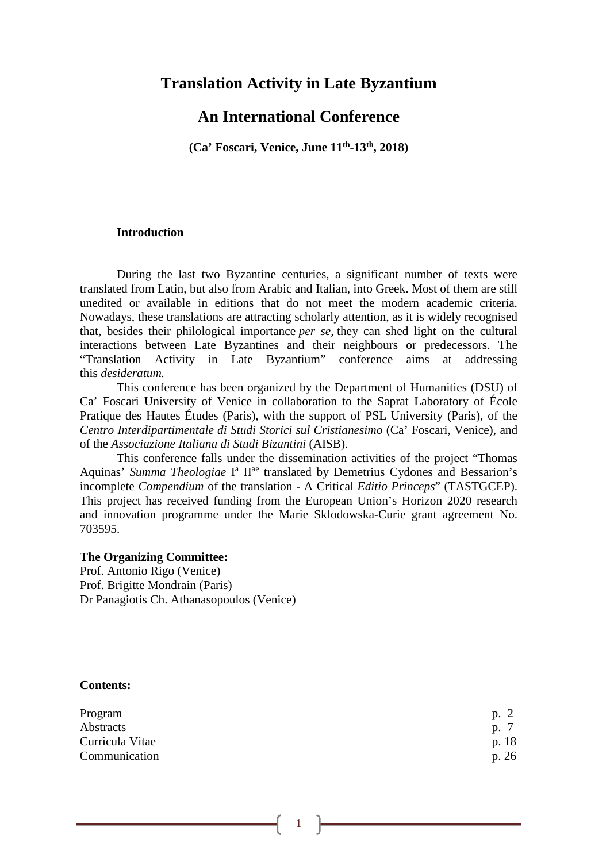# **Translation Activity in Late Byzantium**

# **An International Conference**

**(Ca' Foscari, Venice, June 11th-13th, 2018)**

#### **Introduction**

During the last two Byzantine centuries, a significant number of texts were translated from Latin, but also from Arabic and Italian, into Greek. Most of them are still unedited or available in editions that do not meet the modern academic criteria. Nowadays, these translations are attracting scholarly attention, as it is widely recognised that, besides their philological importance *per se,* they can shed light on the cultural interactions between Late Byzantines and their neighbours or predecessors. The "Translation Activity in Late Byzantium" conference aims at addressing this *desideratum.*

This conference has been organized by the Department of Humanities (DSU) of Ca' Foscari University of Venice in collaboration to the Saprat Laboratory of École Pratique des Hautes Études (Paris), with the support of PSL University (Paris), of the *Centro Interdipartimentale di Studi Storici sul Cristianesimo* (Ca' Foscari, Venice), and of the *Associazione Italiana di Studi Bizantini* (AISB).

This conference falls under the dissemination activities of the project "Thomas Aquinas' Summa Theologiae I<sup>a</sup> II<sup>ae</sup> translated by Demetrius Cydones and Bessarion's incomplete *Compendium* of the translation - A Critical *Editio Princeps*" (TASTGCEP). This project has received funding from the European Union's Horizon 2020 research and innovation programme under the Marie Sklodowska-Curie grant agreement No. 703595.

#### **The Organizing Committee:**

Prof. Antonio Rigo (Venice) Prof. Brigitte Mondrain (Paris) Dr Panagiotis Ch. Athanasopoulos (Venice)

#### **Contents:**

| Program         | p. 2  |
|-----------------|-------|
| Abstracts       | p. 7  |
| Curricula Vitae | p. 18 |
| Communication   | p. 26 |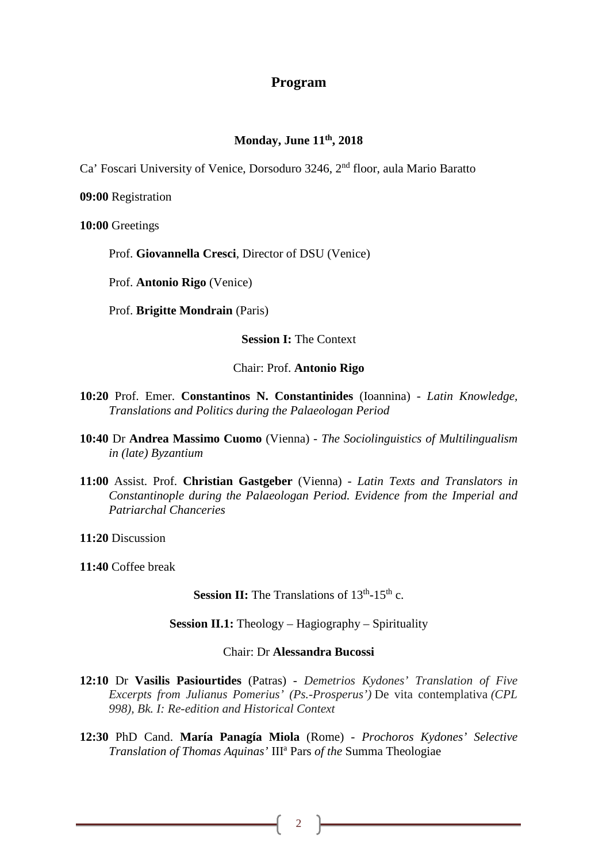## **Program**

## **Monday, June 11th, 2018**

Ca' Foscari University of Venice, Dorsoduro 3246, 2nd floor, aula Mario Baratto

**09:00** Registration

**10:00** Greetings

Prof. **Giovannella Cresci**, Director of DSU (Venice)

Prof. **Antonio Rigo** (Venice)

Prof. **Brigitte Mondrain** (Paris)

**Session I:** The Context

Chair: Prof. **Antonio Rigo**

- **10:20** Prof. Emer. **Constantinos N. Constantinides** (Ioannina) *Latin Knowledge, Translations and Politics during the Palaeologan Period*
- **10:40** Dr **Andrea Massimo Cuomo** (Vienna) *The Sociolinguistics of Multilingualism in (late) Byzantium*
- **11:00** Assist. Prof. **Christian Gastgeber** (Vienna) *Latin Texts and Translators in Constantinople during the Palaeologan Period. Evidence from the Imperial and Patriarchal Chanceries*

**11:20** Discussion

**11:40** Coffee break

**Session II:** The Translations of  $13<sup>th</sup> - 15<sup>th</sup>$  c.

**Session II.1:** Theology – Hagiography – Spirituality

#### Chair: Dr **Alessandra Bucossi**

- **12:10** Dr **Vasilis Pasiourtides** (Patras) *Demetrios Kydones' Translation of Five Excerpts from Julianus Pomerius' (Ps.-Prosperus')* De vita contemplativa *(CPL 998), Bk. I: Re-edition and Historical Context*
- **12:30** PhD Cand. **María Panagía Miola** (Rome) *Prochoros Kydones' Selective Translation of Thomas Aquinas'* IIIa Pars *of the* Summa Theologiae

2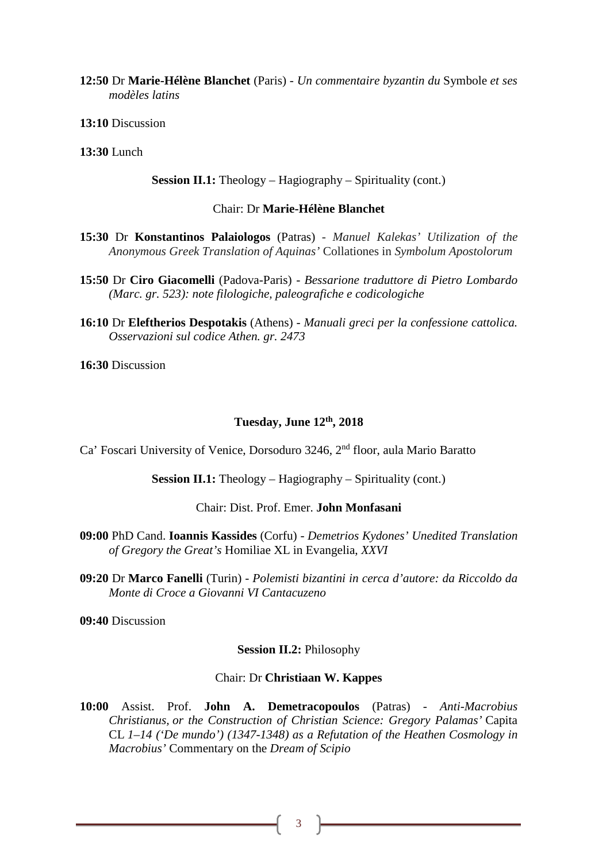**12:50** Dr **Marie-Hélène Blanchet** (Paris) - *Un commentaire byzantin du* Symbole *et ses modèles latins*

**13:10** Discussion

**13:30** Lunch

**Session II.1:** Theology – Hagiography – Spirituality (cont.)

## Chair: Dr **Marie-Hélène Blanchet**

- **15:30** Dr **Konstantinos Palaiologos** (Patras) *Manuel Kalekas' Utilization of the Anonymous Greek Translation of Aquinas'* Collationes in *Symbolum Apostolorum*
- **15:50** Dr **Ciro Giacomelli** (Padova-Paris) *Bessarione traduttore di Pietro Lombardo (Marc. gr. 523): note filologiche, paleografiche e codicologiche*
- **16:10** Dr **Eleftherios Despotakis** (Athens) *Manuali greci per la confessione cattolica. Osservazioni sul codice Athen. gr. 2473*

**16:30** Discussion

#### **Tuesday, June 12th, 2018**

Ca' Foscari University of Venice, Dorsoduro 3246, 2nd floor, aula Mario Baratto

**Session II.1:** Theology – Hagiography – Spirituality (cont.)

Chair: Dist. Prof. Emer. **John Monfasani**

- **09:00** PhD Cand. **Ioannis Kassides** (Corfu) *Demetrios Kydones' Unedited Translation of Gregory the Great's* Homiliae XL in Evangelia, *XXVI*
- **09:20** Dr **Marco Fanelli** (Turin) *Polemisti bizantini in cerca d'autore: da Riccoldo da Monte di Croce a Giovanni VI Cantacuzeno*

**09:40** Discussion

#### **Session II.2:** Philosophy

#### Chair: Dr **Christiaan W. Kappes**

**10:00** Assist. Prof. **John A. Demetracopoulos** (Patras) - *Anti-Macrobius Christianus, or the Construction of Christian Science: Gregory Palamas'* Capita CL *1–14 ('De mundo') (1347-1348) as a Refutation of the Heathen Cosmology in Macrobius'* Commentary on the *Dream of Scipio*

3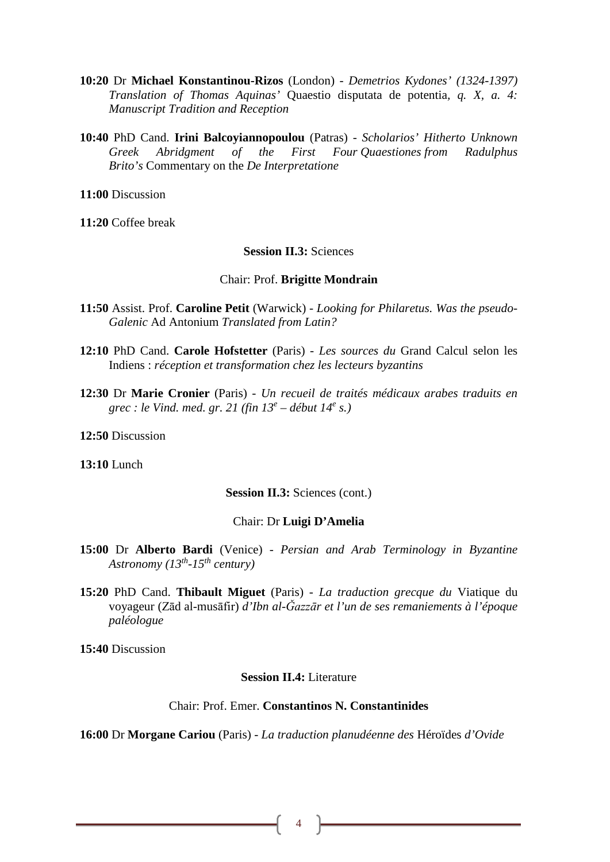- **10:20** Dr **Michael Konstantinou-Rizos** (London) *Demetrios Kydones' (1324-1397) Translation of Thomas Aquinas'* Quaestio disputata de potentia*, q. X, a. 4: Manuscript Tradition and Reception*
- **10:40** PhD Cand. **Irini Balcoyiannopoulou** (Patras) *Scholarios' Hitherto Unknown Greek Abridgment of the First Four Quaestiones from Radulphus Brito's* Commentary on the *De Interpretatione*

**11:00** Discussion

**11:20** Coffee break

### **Session II.3:** Sciences

#### Chair: Prof. **Brigitte Mondrain**

- **11:50** Assist. Prof. **Caroline Petit** (Warwick) *Looking for Philaretus. Was the pseudo-Galenic* Ad Antonium *Translated from Latin?*
- **12:10** PhD Cand. **Carole Hofstetter** (Paris) *Les sources du* Grand Calcul selon les Indiens : *réception et transformation chez les lecteurs byzantins*
- **12:30** Dr **Marie Cronier** (Paris) *Un recueil de traités médicaux arabes traduits en grec : le Vind. med. gr. 21 (fin 13<sup>e</sup> – début 14e s.)*

**12:50** Discussion

**13:10** Lunch

#### **Session II.3:** Sciences (cont.)

#### Chair: Dr **Luigi D'Amelia**

- **15:00** Dr **Alberto Bardi** (Venice) *Persian and Arab Terminology in Byzantine Astronomy (13th-15th century)*
- **15:20** PhD Cand. **Thibault Miguet** (Paris) *La traduction grecque du* Viatique du voyageur (Zād al-musāfir) *d'Ibn al-Ǧazzār et l'un de ses remaniements à l'époque paléologue*

**15:40** Discussion

#### **Session II.4:** Literature

## Chair: Prof. Emer. **Constantinos N. Constantinides**

**16:00** Dr **Morgane Cariou** (Paris) - *La traduction planudéenne des* Héroïdes *d'Ovide*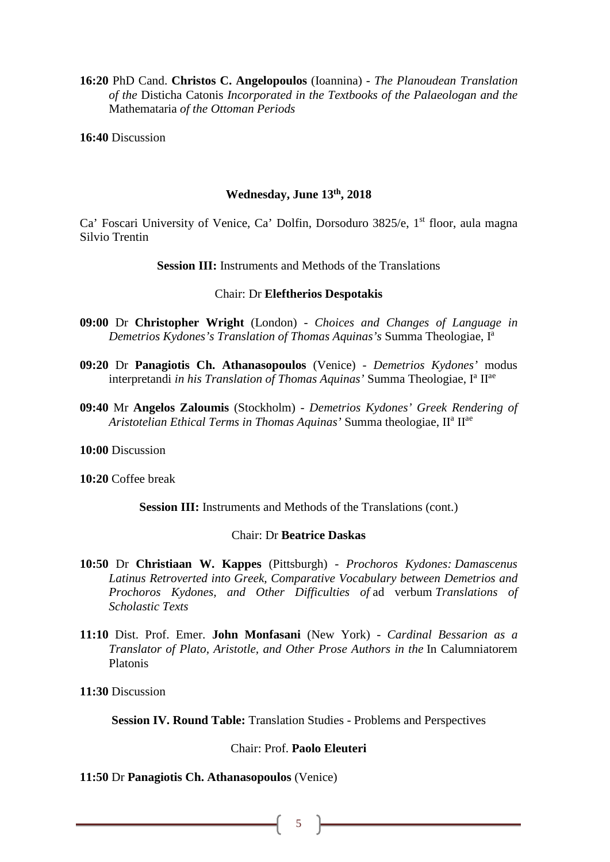**16:20** PhD Cand. **Christos C. Angelopoulos** (Ioannina) - *The Planoudean Translation of the* Disticha Catonis *Incorporated in the Textbooks of the Palaeologan and the*  Mathemataria *of the Ottoman Periods*

**16:40** Discussion

#### **Wednesday, June 13th, 2018**

Ca' Foscari University of Venice, Ca' Dolfin, Dorsoduro 3825/e, 1<sup>st</sup> floor, aula magna Silvio Trentin

**Session III:** Instruments and Methods of the Translations

#### Chair: Dr **Eleftherios Despotakis**

- **09:00** Dr **Christopher Wright** (London) *Choices and Changes of Language in Demetrios Kydones's Translation of Thomas Aquinas's* Summa Theologiae, Ia
- **09:20** Dr **Panagiotis Ch. Athanasopoulos** (Venice) *Demetrios Kydones'* modus interpretandi *in his Translation of Thomas Aquinas'* Summa Theologiae, I<sup>a</sup> II<sup>ae</sup>
- **09:40** Mr **Angelos Zaloumis** (Stockholm) *Demetrios Kydones' Greek Rendering of Aristotelian Ethical Terms in Thomas Aquinas'* Summa theologiae, IIa IIae

**10:00** Discussion

**10:20** Coffee break

Session III: Instruments and Methods of the Translations (cont.)

## Chair: Dr **Beatrice Daskas**

- **10:50** Dr **Christiaan W. Kappes** (Pittsburgh) *Prochoros Kydones: Damascenus Latinus Retroverted into Greek, Comparative Vocabulary between Demetrios and Prochoros Kydones, and Other Difficulties of* ad verbum *Translations of Scholastic Texts*
- **11:10** Dist. Prof. Emer. **John Monfasani** (New York) *Cardinal Bessarion as a Translator of Plato, Aristotle, and Other Prose Authors in the* In Calumniatorem Platonis

**11:30** Discussion

**Session IV. Round Table:** Translation Studies - Problems and Perspectives

## Chair: Prof. **Paolo Eleuteri**

### **11:50** Dr **Panagiotis Ch. Athanasopoulos** (Venice)

5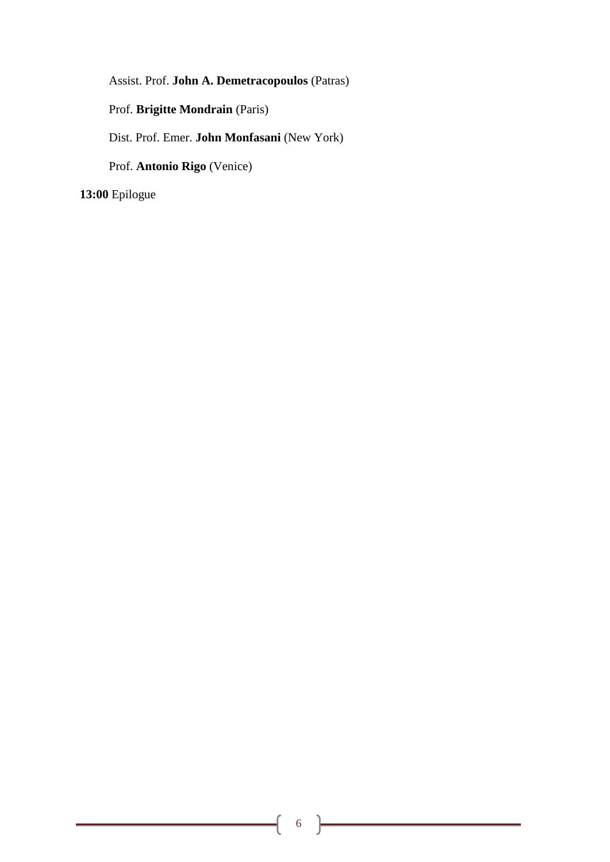Assist. Prof. **John A. Demetracopoulos** (Patras)

Prof. **Brigitte Mondrain** (Paris)

Dist. Prof. Emer. **John Monfasani** (New York)

Prof. **Antonio Rigo** (Venice)

**13:00** Epilogue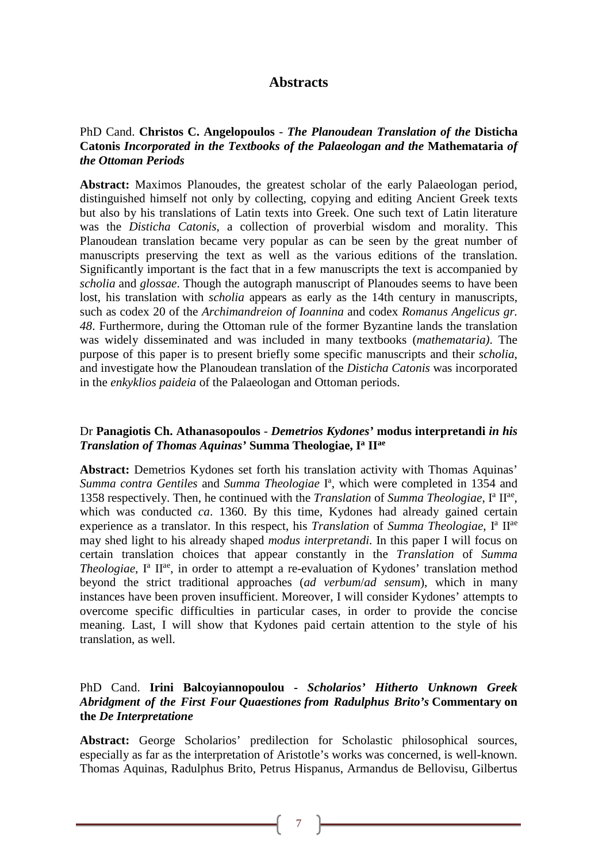# **Abstracts**

## PhD Cand. **Christos C. Angelopoulos** - *The Planoudean Translation of the* **Disticha Catonis** *Incorporated in the Textbooks of the Palaeologan and the* **Mathemataria** *of the Ottoman Periods*

**Abstract:** Maximos Planoudes, the greatest scholar of the early Palaeologan period, distinguished himself not only by collecting, copying and editing Ancient Greek texts but also by his translations of Latin texts into Greek. One such text of Latin literature was the *Disticha Catonis*, a collection of proverbial wisdom and morality. This Planoudean translation became very popular as can be seen by the great number of manuscripts preserving the text as well as the various editions of the translation. Significantly important is the fact that in a few manuscripts the text is accompanied by *scholia* and *glossae*. Though the autograph manuscript of Planoudes seems to have been lost, his translation with *scholia* appears as early as the 14th century in manuscripts, such as codex 20 of the *Archimandreion of Ioannina* and codex *Romanus Angelicus gr. 48*. Furthermore, during the Ottoman rule of the former Byzantine lands the translation was widely disseminated and was included in many textbooks (*mathemataria)*. The purpose of this paper is to present briefly some specific manuscripts and their *scholia*, and investigate how the Planoudean translation of the *Disticha Catonis* was incorporated in the *enkyklios paideia* of the Palaeologan and Ottoman periods.

## Dr **Panagiotis Ch. Athanasopoulos** - *Demetrios Kydones'* **modus interpretandi** *in his Translation of Thomas Aquinas'* **Summa Theologiae, Ia IIae**

**Abstract:** Demetrios Kydones set forth his translation activity with Thomas Aquinas' Summa contra Gentiles and Summa Theologiae I<sup>a</sup>, which were completed in 1354 and 1358 respectively. Then, he continued with the *Translation* of *Summa Theologiae*, Ia IIae, which was conducted *ca*. 1360. By this time, Kydones had already gained certain experience as a translator. In this respect, his *Translation* of *Summa Theologiae*, I<sup>a</sup> II<sup>ae</sup> may shed light to his already shaped *modus interpretandi*. In this paper I will focus on certain translation choices that appear constantly in the *Translation* of *Summa Theologiae*, I<sup>a</sup> II<sup>ae</sup>, in order to attempt a re-evaluation of Kydones' translation method beyond the strict traditional approaches (*ad verbum*/*ad sensum*), which in many instances have been proven insufficient. Moreover, I will consider Kydones' attempts to overcome specific difficulties in particular cases, in order to provide the concise meaning. Last, I will show that Kydones paid certain attention to the style of his translation, as well.

## PhD Cand. **Irini Balcoyiannopoulou -** *Scholarios' Hitherto Unknown Greek Abridgment of the First Four Quaestiones from Radulphus Brito's* **Commentary on the** *De Interpretatione*

**Abstract:** George Scholarios' predilection for Scholastic philosophical sources, especially as far as the interpretation of Aristotle's works was concerned, is well-known. Thomas Aquinas, Radulphus Brito, Petrus Hispanus, Armandus de Bellovisu, Gilbertus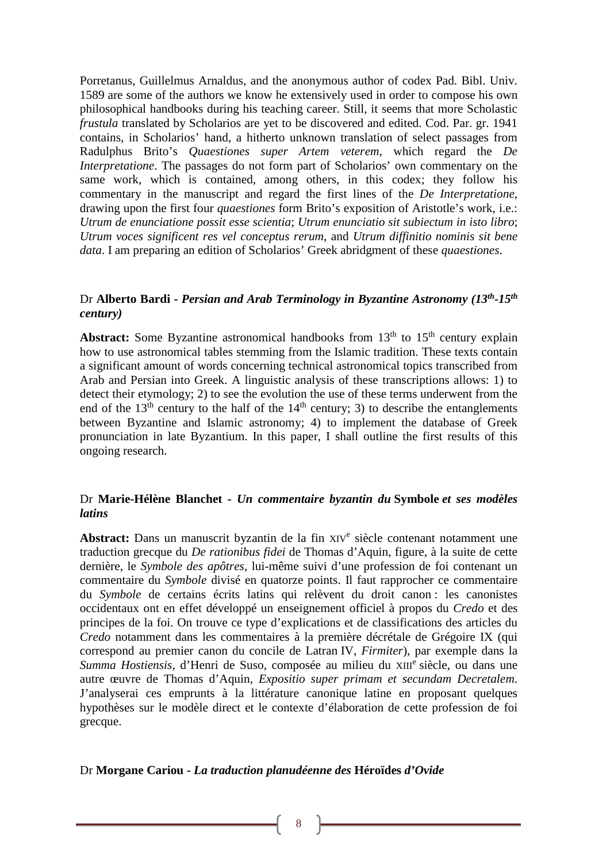Porretanus, Guillelmus Arnaldus, and the anonymous author of codex Pad. Bibl. Univ. 1589 are some of the authors we know he extensively used in order to compose his own philosophical handbooks during his teaching career. Still, it seems that more Scholastic *frustula* translated by Scholarios are yet to be discovered and edited. Cod. Par. gr. 1941 contains, in Scholarios' hand, a hitherto unknown translation of select passages from Radulphus Brito's *Quaestiones super Artem veterem*, which regard the *De Interpretatione*. The passages do not form part of Scholarios' own commentary on the same work, which is contained, among others, in this codex; they follow his commentary in the manuscript and regard the first lines of the *De Interpretatione*, drawing upon the first four *quaestiones* form Brito's exposition of Aristotle's work, i.e.: *Utrum de enunciatione possit esse scientia*; *Utrum enunciatio sit subiectum in isto libro*; *Utrum voces significent res vel conceptus rerum*, and *Utrum diffinitio nominis sit bene data*. I am preparing an edition of Scholarios' Greek abridgment of these *quaestiones*.

## Dr **Alberto Bardi -** *Persian and Arab Terminology in Byzantine Astronomy (13th-15th century)*

**Abstract:** Some Byzantine astronomical handbooks from  $13<sup>th</sup>$  to  $15<sup>th</sup>$  century explain how to use astronomical tables stemming from the Islamic tradition. These texts contain a significant amount of words concerning technical astronomical topics transcribed from Arab and Persian into Greek. A linguistic analysis of these transcriptions allows: 1) to detect their etymology; 2) to see the evolution the use of these terms underwent from the end of the  $13<sup>th</sup>$  century to the half of the  $14<sup>th</sup>$  century; 3) to describe the entanglements between Byzantine and Islamic astronomy; 4) to implement the database of Greek pronunciation in late Byzantium. In this paper, I shall outline the first results of this ongoing research.

## Dr **Marie-Hélène Blanchet -** *Un commentaire byzantin du* **Symbole** *et ses modèles latins*

Abstract: Dans un manuscrit byzantin de la fin XIV<sup>e</sup> siècle contenant notamment une traduction grecque du *De rationibus fidei* de Thomas d'Aquin, figure, à la suite de cette dernière, le *Symbole des apôtres*, lui-même suivi d'une profession de foi contenant un commentaire du *Symbole* divisé en quatorze points. Il faut rapprocher ce commentaire du *Symbole* de certains écrits latins qui relèvent du droit canon : les canonistes occidentaux ont en effet développé un enseignement officiel à propos du *Credo* et des principes de la foi. On trouve ce type d'explications et de classifications des articles du *Credo* notamment dans les commentaires à la première décrétale de Grégoire IX (qui correspond au premier canon du concile de Latran IV, *Firmiter*), par exemple dans la *Summa Hostiensis*, d'Henri de Suso, composée au milieu du XIII<sup>e</sup> siècle, ou dans une autre œuvre de Thomas d'Aquin, *Expositio super primam et secundam Decretalem*. J'analyserai ces emprunts à la littérature canonique latine en proposant quelques hypothèses sur le modèle direct et le contexte d'élaboration de cette profession de foi grecque.

#### Dr **Morgane Cariou -** *La traduction planudéenne des* **Héroïdes** *d'Ovide*

8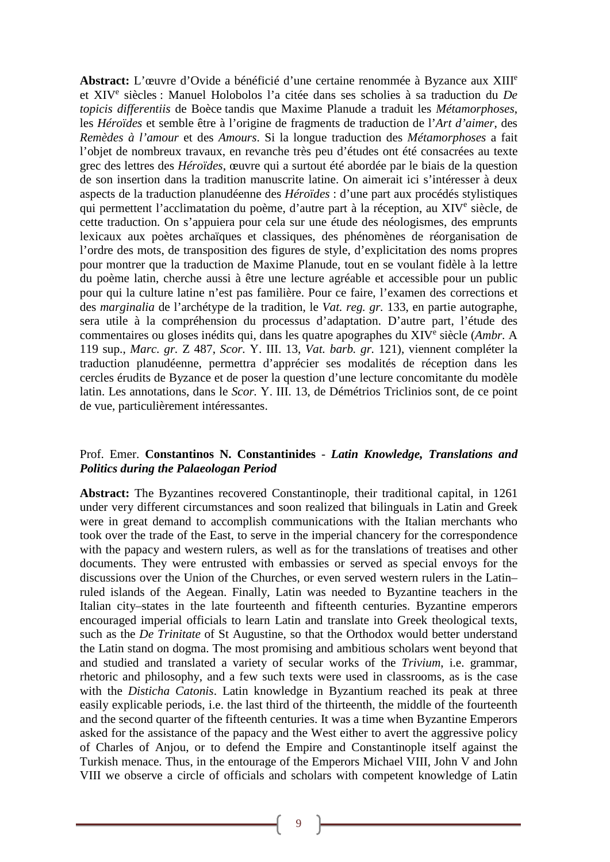**Abstract:** L'œuvre d'Ovide a bénéficié d'une certaine renommée à Byzance aux XIIIe et XIVe siècles : Manuel Holobolos l'a citée dans ses scholies à sa traduction du *De topicis differentiis* de Boèce tandis que Maxime Planude a traduit les *Métamorphoses*, les *Héroïdes* et semble être à l'origine de fragments de traduction de l'*Art d'aimer*, des *Remèdes à l'amour* et des *Amours*. Si la longue traduction des *Métamorphoses* a fait l'objet de nombreux travaux, en revanche très peu d'études ont été consacrées au texte grec des lettres des *Héroïdes*, œuvre qui a surtout été abordée par le biais de la question de son insertion dans la tradition manuscrite latine. On aimerait ici s'intéresser à deux aspects de la traduction planudéenne des *Héroïdes* : d'une part aux procédés stylistiques qui permettent l'acclimatation du poème, d'autre part à la réception, au XIV<sup>e</sup> siècle, de cette traduction. On s'appuiera pour cela sur une étude des néologismes, des emprunts lexicaux aux poètes archaïques et classiques, des phénomènes de réorganisation de l'ordre des mots, de transposition des figures de style, d'explicitation des noms propres pour montrer que la traduction de Maxime Planude, tout en se voulant fidèle à la lettre du poème latin, cherche aussi à être une lecture agréable et accessible pour un public pour qui la culture latine n'est pas familière. Pour ce faire, l'examen des corrections et des *marginalia* de l'archétype de la tradition, le *Vat. reg. gr.* 133, en partie autographe, sera utile à la compréhension du processus d'adaptation. D'autre part, l'étude des commentaires ou gloses inédits qui, dans les quatre apographes du XIVe siècle (*Ambr.* A 119 sup., *Marc. gr.* Z 487, *Scor.* Υ. III. 13, *Vat. barb. gr.* 121), viennent compléter la traduction planudéenne, permettra d'apprécier ses modalités de réception dans les cercles érudits de Byzance et de poser la question d'une lecture concomitante du modèle latin. Les annotations, dans le *Scor.* Υ. III. 13, de Démétrios Triclinios sont, de ce point de vue, particulièrement intéressantes.

## Prof. Emer. **Constantinos N. Constantinides** - *Latin Knowledge, Translations and Politics during the Palaeologan Period*

**Abstract:** The Byzantines recovered Constantinople, their traditional capital, in 1261 under very different circumstances and soon realized that bilinguals in Latin and Greek were in great demand to accomplish communications with the Italian merchants who took over the trade of the East, to serve in the imperial chancery for the correspondence with the papacy and western rulers, as well as for the translations of treatises and other documents. They were entrusted with embassies or served as special envoys for the discussions over the Union of the Churches, or even served western rulers in the Latin– ruled islands of the Aegean. Finally, Latin was needed to Byzantine teachers in the Italian city–states in the late fourteenth and fifteenth centuries. Byzantine emperors encouraged imperial officials to learn Latin and translate into Greek theological texts, such as the *De Trinitate* of St Augustine, so that the Orthodox would better understand the Latin stand on dogma. The most promising and ambitious scholars went beyond that and studied and translated a variety of secular works of the *Trivium*, i.e. grammar, rhetoric and philosophy, and a few such texts were used in classrooms, as is the case with the *Disticha Catonis*. Latin knowledge in Byzantium reached its peak at three easily explicable periods, i.e. the last third of the thirteenth, the middle of the fourteenth and the second quarter of the fifteenth centuries. It was a time when Byzantine Emperors asked for the assistance of the papacy and the West either to avert the aggressive policy of Charles of Anjou, or to defend the Empire and Constantinople itself against the Turkish menace. Thus, in the entourage of the Emperors Michael VIII, John V and John VIII we observe a circle of officials and scholars with competent knowledge of Latin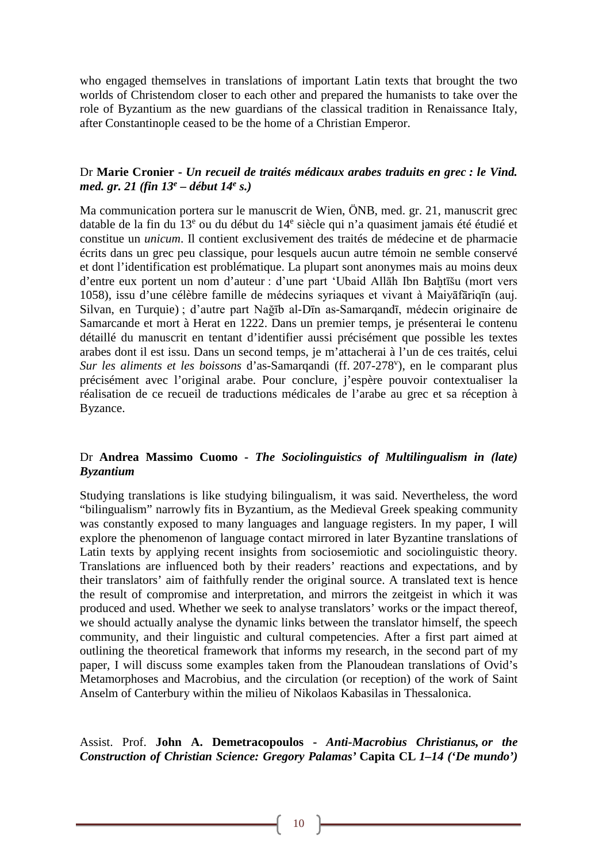who engaged themselves in translations of important Latin texts that brought the two worlds of Christendom closer to each other and prepared the humanists to take over the role of Byzantium as the new guardians of the classical tradition in Renaissance Italy, after Constantinople ceased to be the home of a Christian Emperor.

## Dr **Marie Cronier -** *Un recueil de traités médicaux arabes traduits en grec : le Vind. med. gr. 21 (fin 13e – début 14e s.)*

Ma communication portera sur le manuscrit de Wien, ÖNB, med. gr. 21, manuscrit grec datable de la fin du 13<sup>e</sup> ou du début du 14<sup>e</sup> siècle qui n'a quasiment jamais été étudié et constitue un *unicum*. Il contient exclusivement des traités de médecine et de pharmacie écrits dans un grec peu classique, pour lesquels aucun autre témoin ne semble conservé et dont l'identification est problématique. La plupart sont anonymes mais au moins deux d'entre eux portent un nom d'auteur : d'une part 'Ubaid Allāh Ibn Baḫtīšu (mort vers 1058), issu d'une célèbre famille de médecins syriaques et vivant à Maiyāfāriqīn (auj. Silvan, en Turquie) ; d'autre part Nağīb al-Dīn as-Samarqandī, médecin originaire de Samarcande et mort à Herat en 1222. Dans un premier temps, je présenterai le contenu détaillé du manuscrit en tentant d'identifier aussi précisément que possible les textes arabes dont il est issu. Dans un second temps, je m'attacherai à l'un de ces traités, celui Sur les aliments et les boissons d'as-Samarqandi (ff. 207-278<sup>v</sup>), en le comparant plus précisément avec l'original arabe. Pour conclure, j'espère pouvoir contextualiser la réalisation de ce recueil de traductions médicales de l'arabe au grec et sa réception à Byzance.

## Dr **Andrea Massimo Cuomo -** *The Sociolinguistics of Multilingualism in (late) Byzantium*

Studying translations is like studying bilingualism, it was said. Nevertheless, the word "bilingualism" narrowly fits in Byzantium, as the Medieval Greek speaking community was constantly exposed to many languages and language registers. In my paper, I will explore the phenomenon of language contact mirrored in later Byzantine translations of Latin texts by applying recent insights from sociosemiotic and sociolinguistic theory. Translations are influenced both by their readers' reactions and expectations, and by their translators' aim of faithfully render the original source. A translated text is hence the result of compromise and interpretation, and mirrors the zeitgeist in which it was produced and used. Whether we seek to analyse translators' works or the impact thereof, we should actually analyse the dynamic links between the translator himself, the speech community, and their linguistic and cultural competencies. After a first part aimed at outlining the theoretical framework that informs my research, in the second part of my paper, I will discuss some examples taken from the Planoudean translations of Ovid's Metamorphoses and Macrobius, and the circulation (or reception) of the work of Saint Anselm of Canterbury within the milieu of Nikolaos Kabasilas in Thessalonica.

Assist. Prof. **John A. Demetracopoulos -** *Anti-Macrobius Christianus, or the Construction of Christian Science: Gregory Palamas'* **Capita CL** *1–14 ('De mundo')*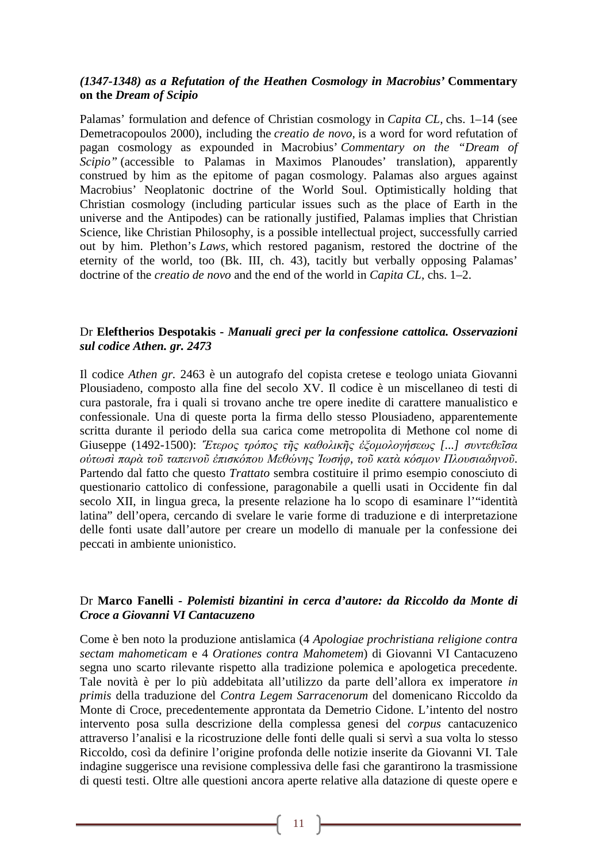## *(1347-1348) as a Refutation of the Heathen Cosmology in Macrobius'* **Commentary on the** *Dream of Scipio*

Palamas' formulation and defence of Christian cosmology in *Capita CL,* chs. 1–14 (see Demetracopoulos 2000), including the *creatio de novo,* is a word for word refutation of pagan cosmology as expounded in Macrobius' *Commentary on the "Dream of Scipio"* (accessible to Palamas in Maximos Planoudes' translation), apparently construed by him as the epitome of pagan cosmology. Palamas also argues against Macrobius' Neoplatonic doctrine of the World Soul. Optimistically holding that Christian cosmology (including particular issues such as the place of Earth in the universe and the Antipodes) can be rationally justified, Palamas implies that Christian Science, like Christian Philosophy, is a possible intellectual project, successfully carried out by him. Plethon's *Laws,* which restored paganism, restored the doctrine of the eternity of the world, too (Bk. III, ch. 43), tacitly but verbally opposing Palamas' doctrine of the *creatio de novo* and the end of the world in *Capita CL,* chs. 1–2.

## Dr **Eleftherios Despotakis -** *Manuali greci per la confessione cattolica. Osservazioni sul codice Athen. gr. 2473*

Il codice *Athen gr.* 2463 è un autografo del copista cretese e teologo uniata Giovanni Plousiadeno, composto alla fine del secolo XV. Il codice è un miscellaneo di testi di cura pastorale, fra i quali si trovano anche tre opere inedite di carattere manualistico e confessionale. Una di queste porta la firma dello stesso Plousiadeno, apparentemente scritta durante il periodo della sua carica come metropolita di Methone col nome di Giuseppe (1492-1500): *Ἕτερος τρόπος τῆς καθολικῆς ἐξομολογήσεως [...] συντεθεῖσα οὑτωσὶ παρὰ τοῦ ταπεινοῦ ἐπισκόπου Μεθώνης Ἰωσήφ, τοῦ κατὰ κόσμον Πλουσιαδηνοῦ*. Partendo dal fatto che questo *Trattato* sembra costituire il primo esempio conosciuto di questionario cattolico di confessione, paragonabile a quelli usati in Occidente fin dal secolo XII, in lingua greca, la presente relazione ha lo scopo di esaminare l'"identità latina" dell'opera, cercando di svelare le varie forme di traduzione e di interpretazione delle fonti usate dall'autore per creare un modello di manuale per la confessione dei peccati in ambiente unionistico.

## Dr **Marco Fanelli -** *Polemisti bizantini in cerca d'autore: da Riccoldo da Monte di Croce a Giovanni VI Cantacuzeno*

Come è ben noto la produzione antislamica (4 *Apologiae prochristiana religione contra sectam mahometicam* e 4 *Orationes contra Mahometem*) di Giovanni VI Cantacuzeno segna uno scarto rilevante rispetto alla tradizione polemica e apologetica precedente. Tale novità è per lo più addebitata all'utilizzo da parte dell'allora ex imperatore *in primis* della traduzione del *Contra Legem Sarracenorum* del domenicano Riccoldo da Monte di Croce, precedentemente approntata da Demetrio Cidone. L'intento del nostro intervento posa sulla descrizione della complessa genesi del *corpus* cantacuzenico attraverso l'analisi e la ricostruzione delle fonti delle quali si servì a sua volta lo stesso Riccoldo, così da definire l'origine profonda delle notizie inserite da Giovanni VI. Tale indagine suggerisce una revisione complessiva delle fasi che garantirono la trasmissione di questi testi. Oltre alle questioni ancora aperte relative alla datazione di queste opere e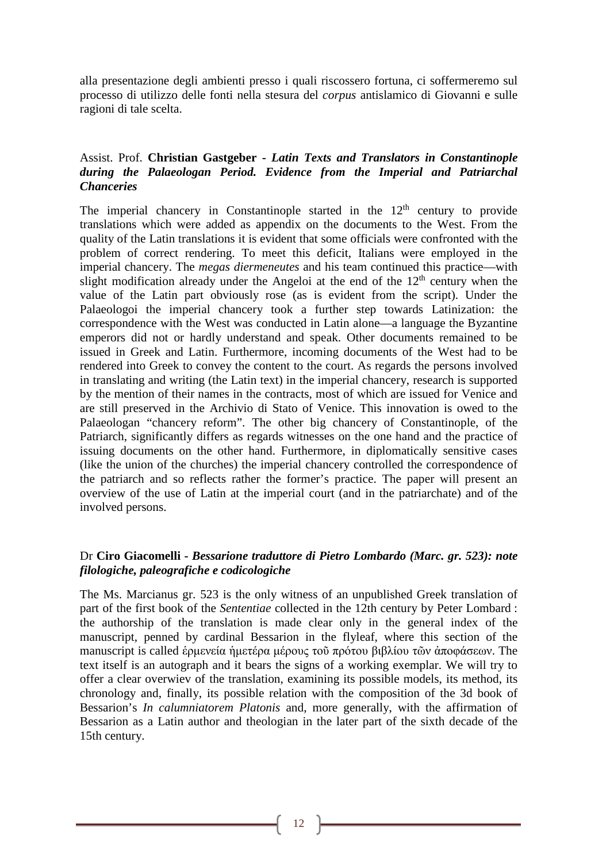alla presentazione degli ambienti presso i quali riscossero fortuna, ci soffermeremo sul processo di utilizzo delle fonti nella stesura del *corpus* antislamico di Giovanni e sulle ragioni di tale scelta.

## Assist. Prof. **Christian Gastgeber -** *Latin Texts and Translators in Constantinople during the Palaeologan Period. Evidence from the Imperial and Patriarchal Chanceries*

The imperial chancery in Constantinople started in the  $12<sup>th</sup>$  century to provide translations which were added as appendix on the documents to the West. From the quality of the Latin translations it is evident that some officials were confronted with the problem of correct rendering. To meet this deficit, Italians were employed in the imperial chancery. The *megas diermeneutes* and his team continued this practice—with slight modification already under the Angeloi at the end of the  $12<sup>th</sup>$  century when the value of the Latin part obviously rose (as is evident from the script). Under the Palaeologoi the imperial chancery took a further step towards Latinization: the correspondence with the West was conducted in Latin alone—a language the Byzantine emperors did not or hardly understand and speak. Other documents remained to be issued in Greek and Latin. Furthermore, incoming documents of the West had to be rendered into Greek to convey the content to the court. As regards the persons involved in translating and writing (the Latin text) in the imperial chancery, research is supported by the mention of their names in the contracts, most of which are issued for Venice and are still preserved in the Archivio di Stato of Venice. This innovation is owed to the Palaeologan "chancery reform". The other big chancery of Constantinople, of the Patriarch, significantly differs as regards witnesses on the one hand and the practice of issuing documents on the other hand. Furthermore, in diplomatically sensitive cases (like the union of the churches) the imperial chancery controlled the correspondence of the patriarch and so reflects rather the former's practice. The paper will present an overview of the use of Latin at the imperial court (and in the patriarchate) and of the involved persons.

## Dr **Ciro Giacomelli -** *Bessarione traduttore di Pietro Lombardo (Marc. gr. 523): note filologiche, paleografiche e codicologiche*

The Ms. Marcianus gr. 523 is the only witness of an unpublished Greek translation of part of the first book of the *Sententiae* collected in the 12th century by Peter Lombard : the authorship of the translation is made clear only in the general index of the manuscript, penned by cardinal Bessarion in the flyleaf, where this section of the manuscript is called ἑρμενεία ἡμετέρα μέρους τοῦ πρότου βιβλίου τῶν ἀποφάσεων. The text itself is an autograph and it bears the signs of a working exemplar. We will try to offer a clear overwiev of the translation, examining its possible models, its method, its chronology and, finally, its possible relation with the composition of the 3d book of Bessarion's *In calumniatorem Platonis* and, more generally, with the affirmation of Bessarion as a Latin author and theologian in the later part of the sixth decade of the 15th century.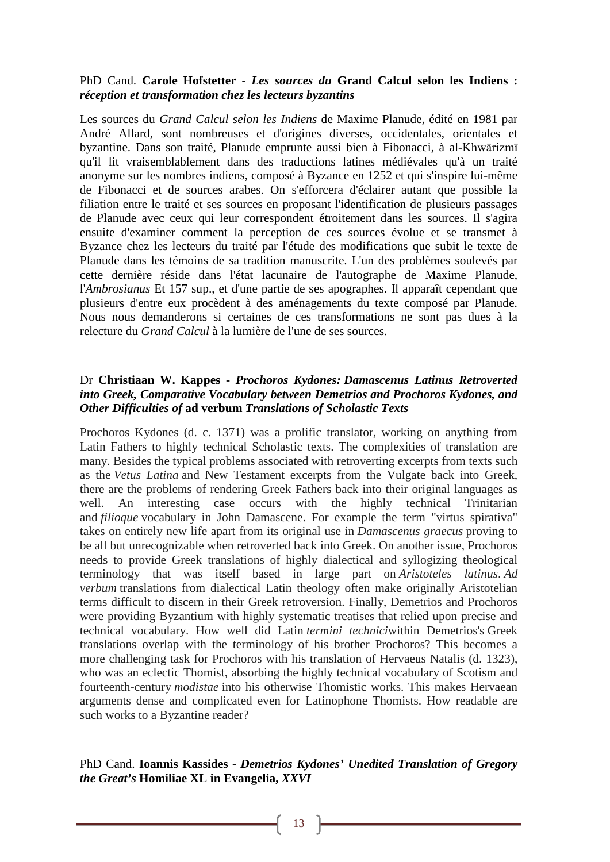## PhD Cand. **Carole Hofstetter -** *Les sources du* **Grand Calcul selon les Indiens :** *réception et transformation chez les lecteurs byzantins*

Les sources du *Grand Calcul selon les Indiens* de Maxime Planude, édité en 1981 par André Allard, sont nombreuses et d'origines diverses, occidentales, orientales et byzantine. Dans son traité, Planude emprunte aussi bien à Fibonacci, à al-Khwārizmī qu'il lit vraisemblablement dans des traductions latines médiévales qu'à un traité anonyme sur les nombres indiens, composé à Byzance en 1252 et qui s'inspire lui-même de Fibonacci et de sources arabes. On s'efforcera d'éclairer autant que possible la filiation entre le traité et ses sources en proposant l'identification de plusieurs passages de Planude avec ceux qui leur correspondent étroitement dans les sources. Il s'agira ensuite d'examiner comment la perception de ces sources évolue et se transmet à Byzance chez les lecteurs du traité par l'étude des modifications que subit le texte de Planude dans les témoins de sa tradition manuscrite. L'un des problèmes soulevés par cette dernière réside dans l'état lacunaire de l'autographe de Maxime Planude, l'*Ambrosianus* Et 157 sup., et d'une partie de ses apographes. Il apparaît cependant que plusieurs d'entre eux procèdent à des aménagements du texte composé par Planude. Nous nous demanderons si certaines de ces transformations ne sont pas dues à la relecture du *Grand Calcul* à la lumière de l'une de ses sources.

## Dr **Christiaan W. Kappes -** *Prochoros Kydones: Damascenus Latinus Retroverted into Greek, Comparative Vocabulary between Demetrios and Prochoros Kydones, and Other Difficulties of* **ad verbum** *Translations of Scholastic Texts*

Prochoros Kydones (d. c. 1371) was a prolific translator, working on anything from Latin Fathers to highly technical Scholastic texts. The complexities of translation are many. Besides the typical problems associated with retroverting excerpts from texts such as the *Vetus Latina* and New Testament excerpts from the Vulgate back into Greek, there are the problems of rendering Greek Fathers back into their original languages as well. An interesting case occurs with the highly technical Trinitarian and *filioque* vocabulary in John Damascene. For example the term "virtus spirativa" takes on entirely new life apart from its original use in *Damascenus graecus* proving to be all but unrecognizable when retroverted back into Greek. On another issue, Prochoros needs to provide Greek translations of highly dialectical and syllogizing theological terminology that was itself based in large part on *Aristoteles latinus*. *Ad verbum* translations from dialectical Latin theology often make originally Aristotelian terms difficult to discern in their Greek retroversion. Finally, Demetrios and Prochoros were providing Byzantium with highly systematic treatises that relied upon precise and technical vocabulary. How well did Latin *termini technici*within Demetrios's Greek translations overlap with the terminology of his brother Prochoros? This becomes a more challenging task for Prochoros with his translation of Hervaeus Natalis (d. 1323), who was an eclectic Thomist, absorbing the highly technical vocabulary of Scotism and fourteenth-century *modistae* into his otherwise Thomistic works. This makes Hervaean arguments dense and complicated even for Latinophone Thomists. How readable are such works to a Byzantine reader?

## PhD Cand. **Ioannis Kassides -** *Demetrios Kydones' Unedited Translation of Gregory the Great's* **Homiliae XL in Evangelia,** *XXVI*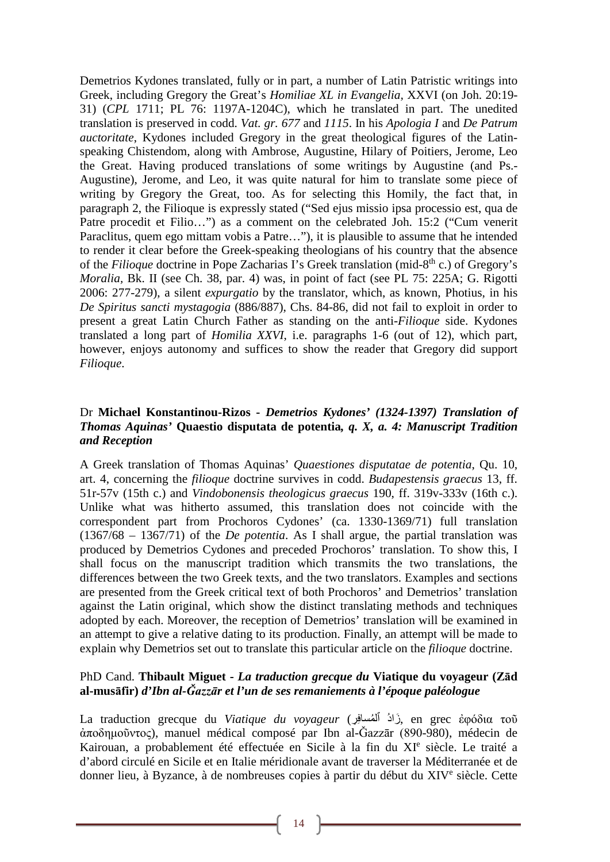Demetrios Kydones translated, fully or in part, a number of Latin Patristic writings into Greek, including Gregory the Great's *Homiliae XL in Evangelia,* XXVI (on Joh. 20:19- 31) (*CPL* 1711; PL 76: 1197A-1204C), which he translated in part. The unedited translation is preserved in codd. *Vat. gr. 677* and *1115*. In his *Apologia I* and *De Patrum auctoritate*, Kydones included Gregory in the great theological figures of the Latinspeaking Chistendom, along with Ambrose, Augustine, Hilary of Poitiers, Jerome, Leo the Great. Having produced translations of some writings by Augustine (and Ps.- Augustine), Jerome, and Leo, it was quite natural for him to translate some piece of writing by Gregory the Great, too. As for selecting this Homily, the fact that, in paragraph 2, the Filioque is expressly stated ("Sed ejus missio ipsa processio est, qua de Patre procedit et Filio…") as a comment on the celebrated Joh. 15:2 ("Cum venerit Paraclitus, quem ego mittam vobis a Patre…"), it is plausible to assume that he intended to render it clear before the Greek-speaking theologians of his country that the absence of the *Filioque* doctrine in Pope Zacharias I's Greek translation (mid-8th c.) of Gregory's *Moralia,* Bk. II (see Ch. 38, par. 4) was, in point of fact (see PL 75: 225A; G. Rigotti 2006: 277-279), a silent *expurgatio* by the translator, which, as known, Photius, in his *De Spiritus sancti mystagogia* (886/887), Chs. 84-86, did not fail to exploit in order to present a great Latin Church Father as standing on the anti-*Filioque* side. Kydones translated a long part of *Homilia XXVI*, i.e. paragraphs 1-6 (out of 12), which part, however, enjoys autonomy and suffices to show the reader that Gregory did support *Filioque*.

## Dr **Michael Konstantinou-Rizos -** *Demetrios Kydones' (1324-1397) Translation of Thomas Aquinas'* **Quaestio disputata de potentia***, q. X, a. 4: Manuscript Tradition and Reception*

A Greek translation of Thomas Aquinas' *Quaestiones disputatae de potentia*, Qu. 10, art. 4, concerning the *filioque* doctrine survives in codd. *Budapestensis graecus* 13, ff. 51r-57v (15th c.) and *Vindobonensis theologicus graecus* 190, ff. 319v-333v (16th c.). Unlike what was hitherto assumed, this translation does not coincide with the correspondent part from Prochoros Cydones' (ca. 1330-1369/71) full translation (1367/68 – 1367/71) of the *De potentia*. As I shall argue, the partial translation was produced by Demetrios Cydones and preceded Prochoros' translation. To show this, I shall focus on the manuscript tradition which transmits the two translations, the differences between the two Greek texts, and the two translators. Examples and sections are presented from the Greek critical text of both Prochoros' and Demetrios' translation against the Latin original, which show the distinct translating methods and techniques adopted by each. Moreover, the reception of Demetrios' translation will be examined in an attempt to give a relative dating to its production. Finally, an attempt will be made to explain why Demetrios set out to translate this particular article on the *filioque* doctrine.

## PhD Cand. **Thibault Miguet -** *La traduction grecque du* **Viatique du voyageur (Zād al-musāfir)** *d'Ibn al-Ǧazzār et l'un de ses remaniements à l'époque paléologue*

La traduction grecque du *Viatique du voyageur* (رِ ِ ٱلمساف ُ ُزادَ , en grec ἐφόδια τοῦ ἀποδημοῦντος), manuel médical composé par Ibn al-Ǧazzār (890-980), médecin de Kairouan, a probablement été effectuée en Sicile à la fin du XIe siècle. Le traité a d'abord circulé en Sicile et en Italie méridionale avant de traverser la Méditerranée et de donner lieu, à Byzance, à de nombreuses copies à partir du début du XIV<sup>e</sup> siècle. Cette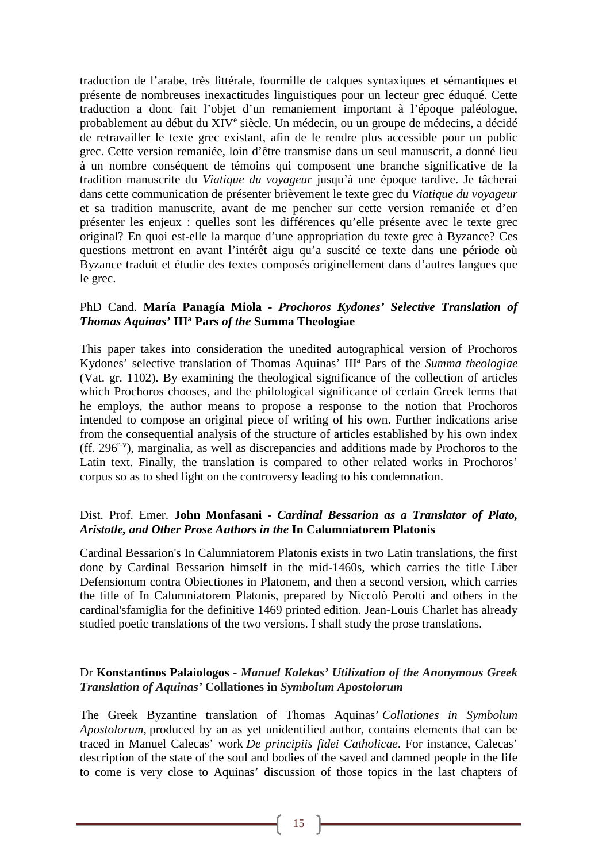traduction de l'arabe, très littérale, fourmille de calques syntaxiques et sémantiques et présente de nombreuses inexactitudes linguistiques pour un lecteur grec éduqué. Cette traduction a donc fait l'objet d'un remaniement important à l'époque paléologue, probablement au début du XIV<sup>e</sup> siècle. Un médecin, ou un groupe de médecins, a décidé de retravailler le texte grec existant, afin de le rendre plus accessible pour un public grec. Cette version remaniée, loin d'être transmise dans un seul manuscrit, a donné lieu à un nombre conséquent de témoins qui composent une branche significative de la tradition manuscrite du *Viatique du voyageur* jusqu'à une époque tardive. Je tâcherai dans cette communication de présenter brièvement le texte grec du *Viatique du voyageur* et sa tradition manuscrite, avant de me pencher sur cette version remaniée et d'en présenter les enjeux : quelles sont les différences qu'elle présente avec le texte grec original? En quoi est-elle la marque d'une appropriation du texte grec à Byzance? Ces questions mettront en avant l'intérêt aigu qu'a suscité ce texte dans une période où Byzance traduit et étudie des textes composés originellement dans d'autres langues que le grec.

## PhD Cand. **María Panagía Miola -** *Prochoros Kydones' Selective Translation of Thomas Aquinas'* **IIIa Pars** *of the* **Summa Theologiae**

This paper takes into consideration the unedited autographical version of Prochoros Kydones' selective translation of Thomas Aquinas' IIIa Pars of the *Summa theologiae* (Vat. gr. 1102). By examining the theological significance of the collection of articles which Prochoros chooses, and the philological significance of certain Greek terms that he employs, the author means to propose a response to the notion that Prochoros intended to compose an original piece of writing of his own. Further indications arise from the consequential analysis of the structure of articles established by his own index (ff. 296r-v ), marginalia, as well as discrepancies and additions made by Prochoros to the Latin text. Finally, the translation is compared to other related works in Prochoros' corpus so as to shed light on the controversy leading to his condemnation.

## Dist. Prof. Emer. **John Monfasani -** *Cardinal Bessarion as a Translator of Plato, Aristotle, and Other Prose Authors in the* **In Calumniatorem Platonis**

Cardinal Bessarion's In Calumniatorem Platonis exists in two Latin translations, the first done by Cardinal Bessarion himself in the mid-1460s, which carries the title Liber Defensionum contra Obiectiones in Platonem, and then a second version, which carries the title of In Calumniatorem Platonis, prepared by Niccolò Perotti and others in the cardinal'sfamiglia for the definitive 1469 printed edition. Jean-Louis Charlet has already studied poetic translations of the two versions. I shall study the prose translations.

## Dr **Konstantinos Palaiologos -** *Manuel Kalekas' Utilization of the Anonymous Greek Translation of Aquinas'* **Collationes in** *Symbolum Apostolorum*

The Greek Byzantine translation of Thomas Aquinas' *Collationes in Symbolum Apostolorum,* produced by an as yet unidentified author, contains elements that can be traced in Manuel Calecas' work *De principiis fidei Catholicae*. For instance, Calecas' description of the state of the soul and bodies of the saved and damned people in the life to come is very close to Aquinas' discussion of those topics in the last chapters of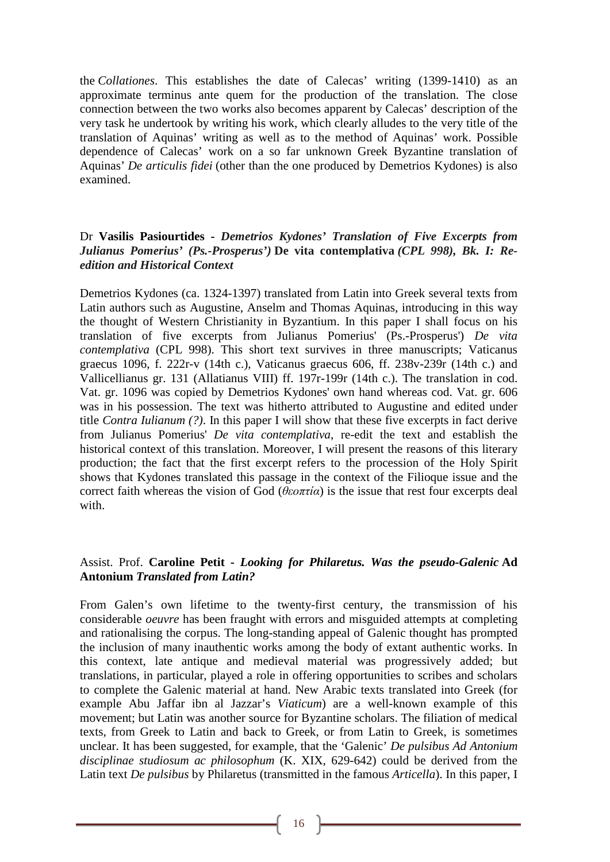the *Collationes*. This establishes the date of Calecas' writing (1399-1410) as an approximate terminus ante quem for the production of the translation. The close connection between the two works also becomes apparent by Calecas' description of the very task he undertook by writing his work, which clearly alludes to the very title of the translation of Aquinas' writing as well as to the method of Aquinas' work. Possible dependence of Calecas' work on a so far unknown Greek Byzantine translation of Aquinas' *De articulis fidei* (other than the one produced by Demetrios Kydones) is also examined.

## Dr **Vasilis Pasiourtides -** *Demetrios Kydones' Translation of Five Excerpts from Julianus Pomerius' (Ps.-Prosperus')* **De vita contemplativa** *(CPL 998), Bk. I: Reedition and Historical Context*

Demetrios Kydones (ca. 1324-1397) translated from Latin into Greek several texts from Latin authors such as Augustine, Anselm and Thomas Aquinas, introducing in this way the thought of Western Christianity in Byzantium. In this paper I shall focus on his translation of five excerpts from Julianus Pomerius' (Ps.-Prosperus') *De vita contemplativa* (CPL 998). This short text survives in three manuscripts; Vaticanus graecus 1096, f. 222r-v (14th c.), Vaticanus graecus 606, ff. 238v-239r (14th c.) and Vallicellianus gr. 131 (Allatianus VIII) ff. 197r-199r (14th c.). The translation in cod. Vat. gr. 1096 was copied by Demetrios Kydones' own hand whereas cod. Vat. gr. 606 was in his possession. The text was hitherto attributed to Augustine and edited under title *Contra Iulianum (?)*. In this paper I will show that these five excerpts in fact derive from Julianus Pomerius' *De vita contemplativa*, re-edit the text and establish the historical context of this translation. Moreover, I will present the reasons of this literary production; the fact that the first excerpt refers to the procession of the Holy Spirit shows that Kydones translated this passage in the context of the Filioque issue and the correct faith whereas the vision of God ( $\theta \epsilon$ *o* $\pi \tau i \alpha$ ) is the issue that rest four excerpts deal with.

## Assist. Prof. **Caroline Petit -** *Looking for Philaretus. Was the pseudo-Galenic* **Ad Antonium** *Translated from Latin?*

From Galen's own lifetime to the twenty-first century, the transmission of his considerable *oeuvre* has been fraught with errors and misguided attempts at completing and rationalising the corpus. The long-standing appeal of Galenic thought has prompted the inclusion of many inauthentic works among the body of extant authentic works. In this context, late antique and medieval material was progressively added; but translations, in particular, played a role in offering opportunities to scribes and scholars to complete the Galenic material at hand. New Arabic texts translated into Greek (for example Abu Jaffar ibn al Jazzar's *Viaticum*) are a well-known example of this movement; but Latin was another source for Byzantine scholars. The filiation of medical texts, from Greek to Latin and back to Greek, or from Latin to Greek, is sometimes unclear. It has been suggested, for example, that the 'Galenic' *De pulsibus Ad Antonium disciplinae studiosum ac philosophum* (K. XIX, 629-642) could be derived from the Latin text *De pulsibus* by Philaretus (transmitted in the famous *Articella*). In this paper, I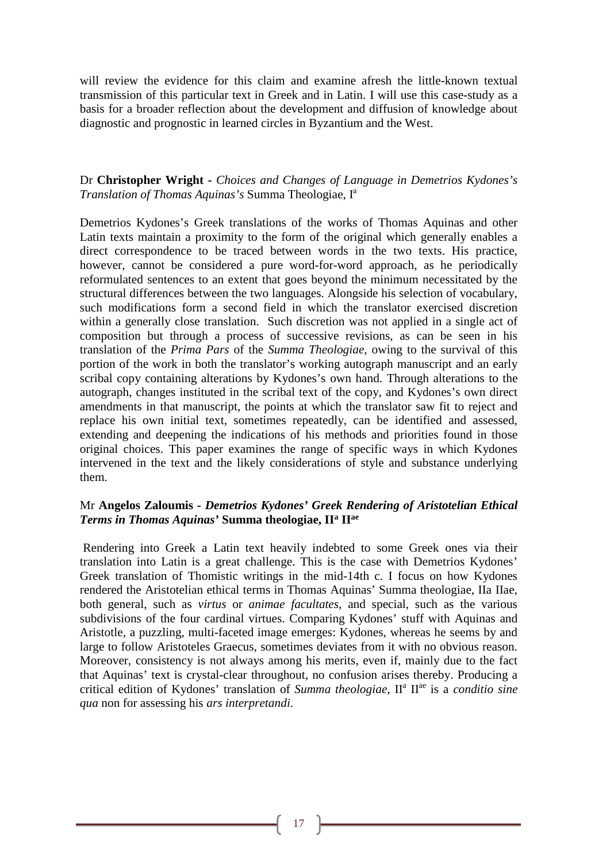will review the evidence for this claim and examine afresh the little-known textual transmission of this particular text in Greek and in Latin. I will use this case-study as a basis for a broader reflection about the development and diffusion of knowledge about diagnostic and prognostic in learned circles in Byzantium and the West.

## Dr **Christopher Wright -** *Choices and Changes of Language in Demetrios Kydones's Translation of Thomas Aquinas's* Summa Theologiae, Ia

Demetrios Kydones's Greek translations of the works of Thomas Aquinas and other Latin texts maintain a proximity to the form of the original which generally enables a direct correspondence to be traced between words in the two texts. His practice, however, cannot be considered a pure word-for-word approach, as he periodically reformulated sentences to an extent that goes beyond the minimum necessitated by the structural differences between the two languages. Alongside his selection of vocabulary, such modifications form a second field in which the translator exercised discretion within a generally close translation. Such discretion was not applied in a single act of composition but through a process of successive revisions, as can be seen in his translation of the *Prima Pars* of the *Summa Theologiae*, owing to the survival of this portion of the work in both the translator's working autograph manuscript and an early scribal copy containing alterations by Kydones's own hand. Through alterations to the autograph, changes instituted in the scribal text of the copy, and Kydones's own direct amendments in that manuscript, the points at which the translator saw fit to reject and replace his own initial text, sometimes repeatedly, can be identified and assessed, extending and deepening the indications of his methods and priorities found in those original choices. This paper examines the range of specific ways in which Kydones intervened in the text and the likely considerations of style and substance underlying them.

## Mr **Angelos Zaloumis -** *Demetrios Kydones' Greek Rendering of Aristotelian Ethical Terms in Thomas Aquinas'* **Summa theologiae, IIa IIae**

Rendering into Greek a Latin text heavily indebted to some Greek ones via their translation into Latin is a great challenge. This is the case with Demetrios Kydones' Greek translation of Thomistic writings in the mid-14th c. I focus on how Kydones rendered the Aristotelian ethical terms in Thomas Aquinas' Summa theologiae, IIa IIae, both general, such as *virtus* or *animae facultates*, and special, such as the various subdivisions of the four cardinal virtues. Comparing Kydones' stuff with Aquinas and Aristotle, a puzzling, multi-faceted image emerges: Kydones, whereas he seems by and large to follow Aristoteles Graecus, sometimes deviates from it with no obvious reason. Moreover, consistency is not always among his merits, even if, mainly due to the fact that Aquinas' text is crystal-clear throughout, no confusion arises thereby. Producing a critical edition of Kydones' translation of *Summa theologiae*, IIa IIae is a *conditio sine qua* non for assessing his *ars interpretandi*.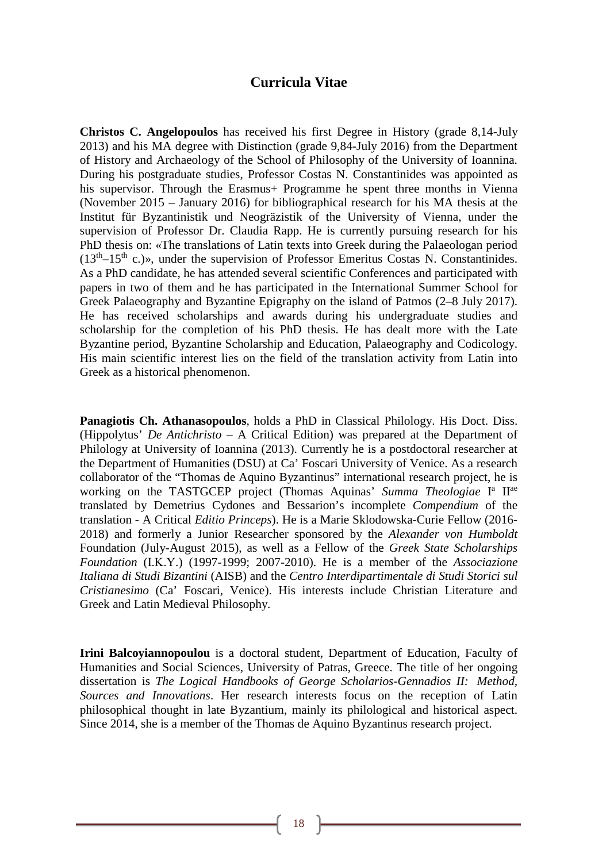## **Curricula Vitae**

**Christos C. Angelopoulos** has received his first Degree in History (grade 8,14-July 2013) and his MA degree with Distinction (grade 9,84-July 2016) from the Department of History and Archaeology of the School of Philosophy of the University of Ioannina. During his postgraduate studies, Professor Costas N. Constantinides was appointed as his supervisor. Through the Erasmus+ Programme he spent three months in Vienna (November 2015 – January 2016) for bibliographical research for his MA thesis at the Institut für Byzantinistik und Neogräzistik of the University of Vienna, under the supervision of Professor Dr. Claudia Rapp. He is currently pursuing research for his PhD thesis on: «The translations of Latin texts into Greek during the Palaeologan period  $(13<sup>th</sup>-15<sup>th</sup>$  c.)», under the supervision of Professor Emeritus Costas N. Constantinides. As a PhD candidate, he has attended several scientific Conferences and participated with papers in two of them and he has participated in the International Summer School for Greek Palaeography and Byzantine Epigraphy on the island of Patmos (2–8 July 2017). He has received scholarships and awards during his undergraduate studies and scholarship for the completion of his PhD thesis. He has dealt more with the Late Byzantine period, Byzantine Scholarship and Education, Palaeography and Codicology. His main scientific interest lies on the field of the translation activity from Latin into Greek as a historical phenomenon.

**Panagiotis Ch. Athanasopoulos**, holds a PhD in Classical Philology. His Doct. Diss. (Hippolytus' *De Antichristo* – A Critical Edition) was prepared at the Department of Philology at University of Ioannina (2013). Currently he is a postdoctoral researcher at the Department of Humanities (DSU) at Ca' Foscari University of Venice. As a research collaborator of the "Thomas de Aquino Byzantinus" international research project, he is working on the TASTGCEP project (Thomas Aquinas' Summa Theologiae I<sup>a</sup> II<sup>ae</sup> translated by Demetrius Cydones and Bessarion's incomplete *Compendium* of the translation - A Critical *Editio Princeps*). He is a Marie Sklodowska-Curie Fellow (2016- 2018) and formerly a Junior Researcher sponsored by the *Alexander von Humboldt*  Foundation (July-August 2015), as well as a Fellow of the *Greek State Scholarships Foundation* (Ι.Κ.Υ.) (1997-1999; 2007-2010). He is a member of the *Associazione Italiana di Studi Bizantini* (AISB) and the *Centro Interdipartimentale di Studi Storici sul Cristianesimo* (Ca' Foscari, Venice). His interests include Christian Literature and Greek and Latin Medieval Philosophy.

**Irini Balcoyiannopoulou** is a doctoral student, Department of Education, Faculty of Humanities and Social Sciences, University of Patras, Greece. The title of her ongoing dissertation is *The Logical Handbooks of George Scholarios-Gennadios II: Method, Sources and Innovations*. Her research interests focus on the reception of Latin philosophical thought in late Byzantium, mainly its philological and historical aspect. Since 2014, she is a member of the Thomas de Aquino Byzantinus research project.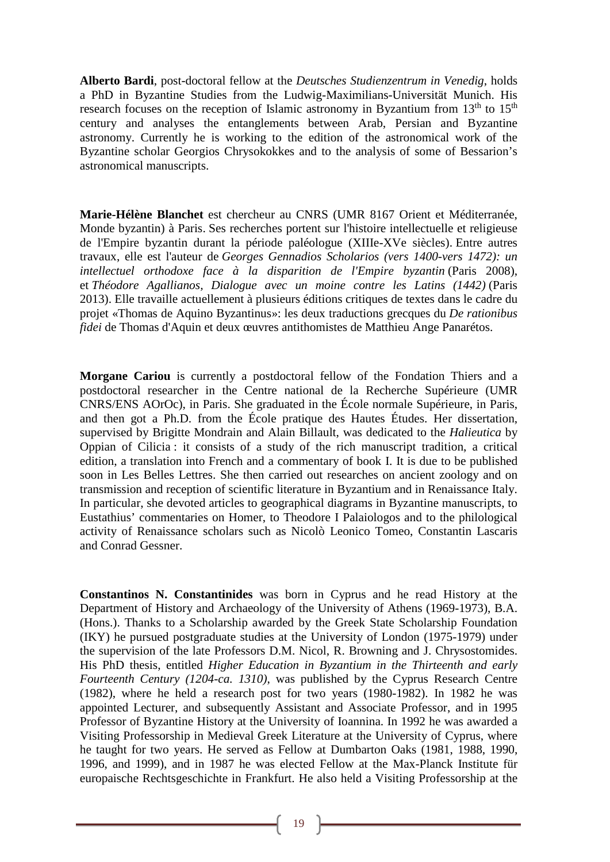**Alberto Bardi**, post-doctoral fellow at the *Deutsches Studienzentrum in Venedig*, holds a PhD in Byzantine Studies from the Ludwig-Maximilians-Universität Munich. His research focuses on the reception of Islamic astronomy in Byzantium from  $13<sup>th</sup>$  to  $15<sup>th</sup>$ century and analyses the entanglements between Arab, Persian and Byzantine astronomy. Currently he is working to the edition of the astronomical work of the Byzantine scholar Georgios Chrysokokkes and to the analysis of some of Bessarion's astronomical manuscripts.

**Marie-Hélène Blanchet** est chercheur au CNRS (UMR 8167 Orient et Méditerranée, Monde byzantin) à Paris. Ses recherches portent sur l'histoire intellectuelle et religieuse de l'Empire byzantin durant la période paléologue (XIIIe-XVe siècles). Entre autres travaux, elle est l'auteur de *Georges Gennadios Scholarios (vers 1400-vers 1472): un intellectuel orthodoxe face à la disparition de l'Empire byzantin* (Paris 2008), et *Théodore Agallianos, Dialogue avec un moine contre les Latins (1442)* (Paris 2013). Elle travaille actuellement à plusieurs éditions critiques de textes dans le cadre du projet «Thomas de Aquino Byzantinus»: les deux traductions grecques du *De rationibus fidei* de Thomas d'Aquin et deux œuvres antithomistes de Matthieu Ange Panarétos.

**Morgane Cariou** is currently a postdoctoral fellow of the Fondation Thiers and a postdoctoral researcher in the Centre national de la Recherche Supérieure (UMR CNRS/ENS AOrOc), in Paris. She graduated in the École normale Supérieure, in Paris, and then got a Ph.D. from the École pratique des Hautes Études. Her dissertation, supervised by Brigitte Mondrain and Alain Billault, was dedicated to the *Halieutica* by Oppian of Cilicia : it consists of a study of the rich manuscript tradition, a critical edition, a translation into French and a commentary of book I. It is due to be published soon in Les Belles Lettres. She then carried out researches on ancient zoology and on transmission and reception of scientific literature in Byzantium and in Renaissance Italy. In particular, she devoted articles to geographical diagrams in Byzantine manuscripts, to Eustathius' commentaries on Homer, to Theodore I Palaiologos and to the philological activity of Renaissance scholars such as Nicolò Leonico Tomeo, Constantin Lascaris and Conrad Gessner.

**Constantinos N. Constantinides** was born in Cyprus and he read History at the Department of History and Archaeology of the University of Athens (1969-1973), B.A. (Hons.). Thanks to a Scholarship awarded by the Greek State Scholarship Foundation (IKY) he pursued postgraduate studies at the University of London (1975-1979) under the supervision of the late Professors D.M. Nicol, R. Browning and J. Chrysostomides. His PhD thesis, entitled *Higher Education in Byzantium in the Thirteenth and early Fourteenth Century (1204-ca. 1310)*, was published by the Cyprus Research Centre (1982), where he held a research post for two years (1980-1982). In 1982 he was appointed Lecturer, and subsequently Assistant and Associate Professor, and in 1995 Professor of Byzantine History at the University of Ioannina. In 1992 he was awarded a Visiting Professorship in Medieval Greek Literature at the University of Cyprus, where he taught for two years. He served as Fellow at Dumbarton Oaks (1981, 1988, 1990, 1996, and 1999), and in 1987 he was elected Fellow at the Max-Planck Institute für europaische Rechtsgeschichte in Frankfurt. He also held a Visiting Professorship at the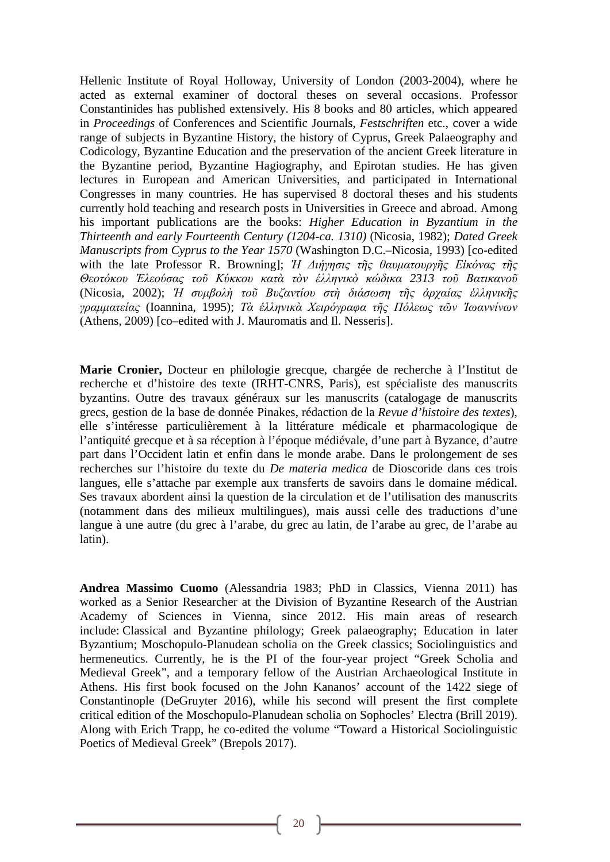Hellenic Institute of Royal Holloway, University of London (2003-2004), where he acted as external examiner of doctoral theses on several occasions. Professor Constantinides has published extensively. His 8 books and 80 articles, which appeared in *Proceedings* of Conferences and Scientific Journals, *Festschriften* etc., cover a wide range of subjects in Byzantine History, the history of Cyprus, Greek Palaeography and Codicology, Byzantine Education and the preservation of the ancient Greek literature in the Byzantine period, Byzantine Hagiography, and Epirotan studies. He has given lectures in European and American Universities, and participated in International Congresses in many countries. He has supervised 8 doctoral theses and his students currently hold teaching and research posts in Universities in Greece and abroad. Among his important publications are the books: *Higher Education in Byzantium in the Thirteenth and early Fourteenth Century (1204-ca. 1310)* (Nicosia, 1982); *Dated Greek Manuscripts from Cyprus to the Year 1570* (Washington D.C.–Nicosia, 1993) [co-edited with the late Professor R. Browning]; *Ἡ Διήγησις τῆς θαυματουργῆς Εἰκόνας τῆς Θεοτόκου Ἐλεούσας τοῦ Κύκκου κατὰ τὸν ἑλληνικὸ κώδικα 2313 τοῦ Βατικανοῦ* (Nicosia, 2002); *Ἡ συμβολὴ τοῦ Βυζαντίου στὴ διάσωση τῆς ἀρχαίας ἑλληνικῆς γραμματείας* (Ιoannina, 1995); *Τὰ ἑλληνικὰ Χειρόγραφα τῆς Πόλεως τῶν Ἰωαννίνων* (Athens, 2009) [co–edited with J. Mauromatis and Il. Nesseris].

**Marie Cronier,** Docteur en philologie grecque, chargée de recherche à l'Institut de recherche et d'histoire des texte (IRHT-CNRS, Paris), est spécialiste des manuscrits byzantins. Outre des travaux généraux sur les manuscrits (catalogage de manuscrits grecs, gestion de la base de donnée Pinakes, rédaction de la *Revue d'histoire des textes*), elle s'intéresse particulièrement à la littérature médicale et pharmacologique de l'antiquité grecque et à sa réception à l'époque médiévale, d'une part à Byzance, d'autre part dans l'Occident latin et enfin dans le monde arabe. Dans le prolongement de ses recherches sur l'histoire du texte du *De materia medica* de Dioscoride dans ces trois langues, elle s'attache par exemple aux transferts de savoirs dans le domaine médical. Ses travaux abordent ainsi la question de la circulation et de l'utilisation des manuscrits (notamment dans des milieux multilingues), mais aussi celle des traductions d'une langue à une autre (du grec à l'arabe, du grec au latin, de l'arabe au grec, de l'arabe au latin).

**Andrea Massimo Cuomo** (Alessandria 1983; PhD in Classics, Vienna 2011) has worked as a Senior Researcher at the Division of Byzantine Research of the Austrian Academy of Sciences in Vienna, since 2012. His main areas of research include: Classical and Byzantine philology; Greek palaeography; Education in later Byzantium; Moschopulo-Planudean scholia on the Greek classics; Sociolinguistics and hermeneutics. Currently, he is the PI of the four-year project "Greek Scholia and Medieval Greek", and a temporary fellow of the Austrian Archaeological Institute in Athens. His first book focused on the John Kananos' account of the 1422 siege of Constantinople (DeGruyter 2016), while his second will present the first complete critical edition of the Moschopulo-Planudean scholia on Sophocles' Electra (Brill 2019). Along with Erich Trapp, he co-edited the volume "Toward a Historical Sociolinguistic Poetics of Medieval Greek" (Brepols 2017).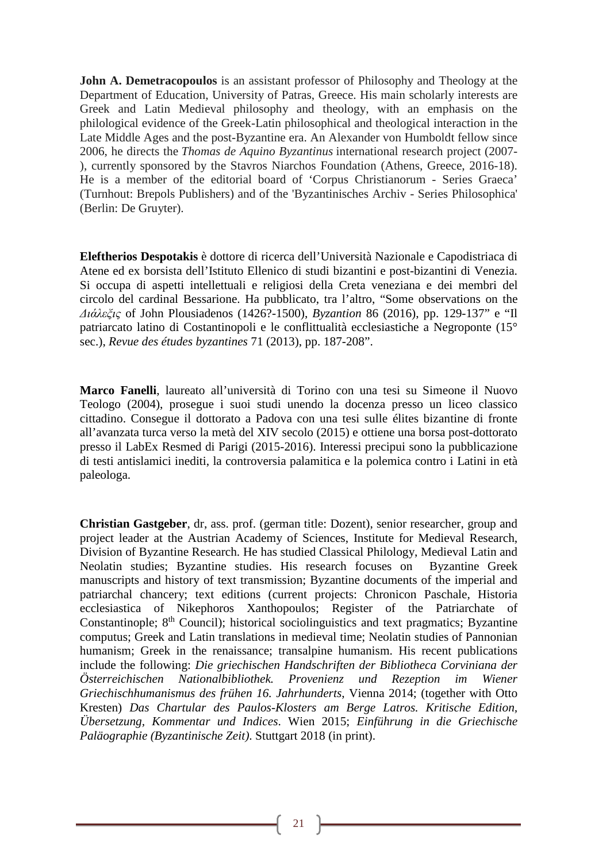**John A. Demetracopoulos** is an assistant professor of Philosophy and Theology at the Department of Education, University of Patras, Greece. His main scholarly interests are Greek and Latin Medieval philosophy and theology, with an emphasis on the philological evidence of the Greek-Latin philosophical and theological interaction in the Late Middle Ages and the post-Byzantine era. An Alexander von Humboldt fellow since 2006, he directs the *Thomas de Aquino Byzantinus* international research project (2007- ), currently sponsored by the Stavros Niarchos Foundation (Athens, Greece, 2016-18). He is a member of the editorial board of 'Corpus Christianorum - Series Graeca' (Turnhout: Brepols Publishers) and of the 'Byzantinisches Archiv - Series Philosophica' (Berlin: De Gruyter).

**Eleftherios Despotakis** è dottore di ricerca dell'Università Nazionale e Capodistriaca di Atene ed ex borsista dell'Istituto Ellenico di studi bizantini e post-bizantini di Venezia. Si occupa di aspetti intellettuali e religiosi della Creta veneziana e dei membri del circolo del cardinal Bessarione. Ha pubblicato, tra l'altro, "Some observations on the *Διάλεξις* of John Plousiadenos (1426?-1500), *Byzantion* 86 (2016), pp. 129-137" e "Il patriarcato latino di Costantinopoli e le conflittualità ecclesiastiche a Negroponte (15° sec.), *Revue des études byzantines* 71 (2013), pp. 187-208".

**Marco Fanelli**, laureato all'università di Torino con una tesi su Simeone il Nuovo Teologo (2004), prosegue i suoi studi unendo la docenza presso un liceo classico cittadino. Consegue il dottorato a Padova con una tesi sulle élites bizantine di fronte all'avanzata turca verso la metà del XIV secolo (2015) e ottiene una borsa post-dottorato presso il LabEx Resmed di Parigi (2015-2016). Interessi precipui sono la pubblicazione di testi antislamici inediti, la controversia palamitica e la polemica contro i Latini in età paleologa.

**Christian Gastgeber**, dr, ass. prof. (german title: Dozent), senior researcher, group and project leader at the Austrian Academy of Sciences, Institute for Medieval Research, Division of Byzantine Research. He has studied Classical Philology, Medieval Latin and Neolatin studies; Byzantine studies. His research focuses on Byzantine Greek manuscripts and history of text transmission; Byzantine documents of the imperial and patriarchal chancery; text editions (current projects: Chronicon Paschale, Historia ecclesiastica of Nikephoros Xanthopoulos; Register of the Patriarchate of Constantinople;  $8<sup>th</sup>$  Council); historical sociolinguistics and text pragmatics; Byzantine computus; Greek and Latin translations in medieval time; Neolatin studies of Pannonian humanism; Greek in the renaissance; transalpine humanism. His recent publications include the following: *Die griechischen Handschriften der Bibliotheca Corviniana der Österreichischen Nationalbibliothek. Provenienz und Rezeption im Wiener Griechischhumanismus des frühen 16. Jahrhunderts*, Vienna 2014; (together with Otto Kresten) *Das Chartular des Paulos-Klosters am Berge Latros. Kritische Edition, Übersetzung, Kommentar und Indices*. Wien 2015; *Einführung in die Griechische Paläographie (Byzantinische Zeit)*. Stuttgart 2018 (in print).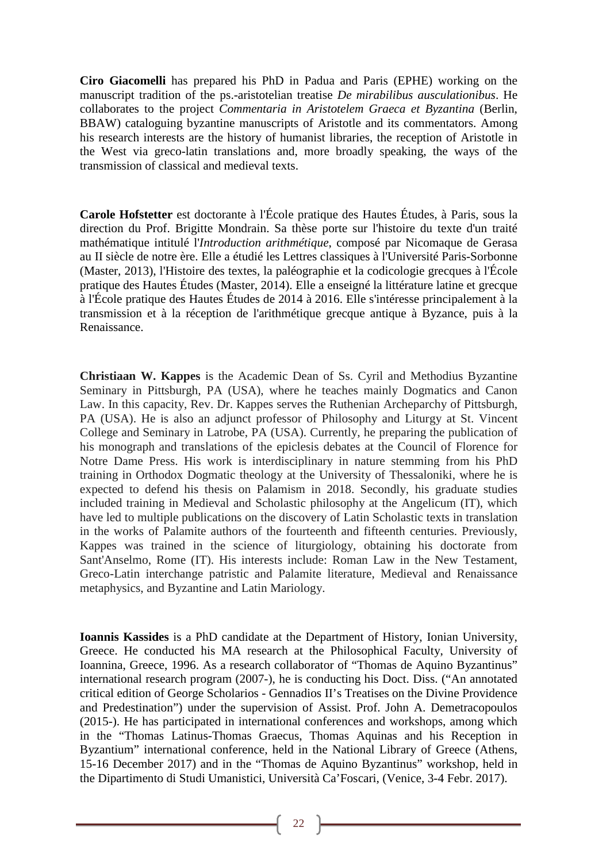**Ciro Giacomelli** has prepared his PhD in Padua and Paris (EPHE) working on the manuscript tradition of the ps.-aristotelian treatise *De mirabilibus ausculationibus*. He collaborates to the project *Commentaria in Aristotelem Graeca et Byzantina* (Berlin, BBAW) cataloguing byzantine manuscripts of Aristotle and its commentators. Among his research interests are the history of humanist libraries, the reception of Aristotle in the West via greco-latin translations and, more broadly speaking, the ways of the transmission of classical and medieval texts.

**Carole Hofstetter** est doctorante à l'École pratique des Hautes Études, à Paris, sous la direction du Prof. Brigitte Mondrain. Sa thèse porte sur l'histoire du texte d'un traité mathématique intitulé l'*Introduction arithmétique*, composé par Nicomaque de Gerasa au II siècle de notre ère. Elle a étudié les Lettres classiques à l'Université Paris-Sorbonne (Master, 2013), l'Histoire des textes, la paléographie et la codicologie grecques à l'École pratique des Hautes Études (Master, 2014). Elle a enseigné la littérature latine et grecque à l'École pratique des Hautes Études de 2014 à 2016. Elle s'intéresse principalement à la transmission et à la réception de l'arithmétique grecque antique à Byzance, puis à la Renaissance.

**Christiaan W. Kappes** is the Academic Dean of Ss. Cyril and Methodius Byzantine Seminary in Pittsburgh, PA (USA), where he teaches mainly Dogmatics and Canon Law. In this capacity, Rev. Dr. Kappes serves the Ruthenian Archeparchy of Pittsburgh, PA (USA). He is also an adjunct professor of Philosophy and Liturgy at St. Vincent College and Seminary in Latrobe, PA (USA). Currently, he preparing the publication of his monograph and translations of the epiclesis debates at the Council of Florence for Notre Dame Press. His work is interdisciplinary in nature stemming from his PhD training in Orthodox Dogmatic theology at the University of Thessaloniki, where he is expected to defend his thesis on Palamism in 2018. Secondly, his graduate studies included training in Medieval and Scholastic philosophy at the Angelicum (IT), which have led to multiple publications on the discovery of Latin Scholastic texts in translation in the works of Palamite authors of the fourteenth and fifteenth centuries. Previously, Kappes was trained in the science of liturgiology, obtaining his doctorate from Sant'Anselmo, Rome (IT). His interests include: Roman Law in the New Testament, Greco-Latin interchange patristic and Palamite literature, Medieval and Renaissance metaphysics, and Byzantine and Latin Mariology.

**Ioannis Kassides** is a PhD candidate at the Department of History, Ionian University, Greece. He conducted his MA research at the Philosophical Faculty, University of Ioannina, Greece, 1996. As a research collaborator of "Thomas de Aquino Byzantinus" international research program (2007-), he is conducting his Doct. Diss. ("An annotated critical edition of George Scholarios - Gennadios II's Treatises on the Divine Providence and Predestination") under the supervision of Assist. Prof. John A. Demetracopoulos (2015-). He has participated in international conferences and workshops, among which in the "Thomas Latinus-Thomas Graecus, Thomas Aquinas and his Reception in Byzantium" international conference, held in the National Library of Greece (Athens, 15-16 December 2017) and in the "Thomas de Aquino Byzantinus" workshop, held in the Dipartimento di Studi Umanistici, Università Ca'Foscari, (Venice, 3-4 Febr. 2017).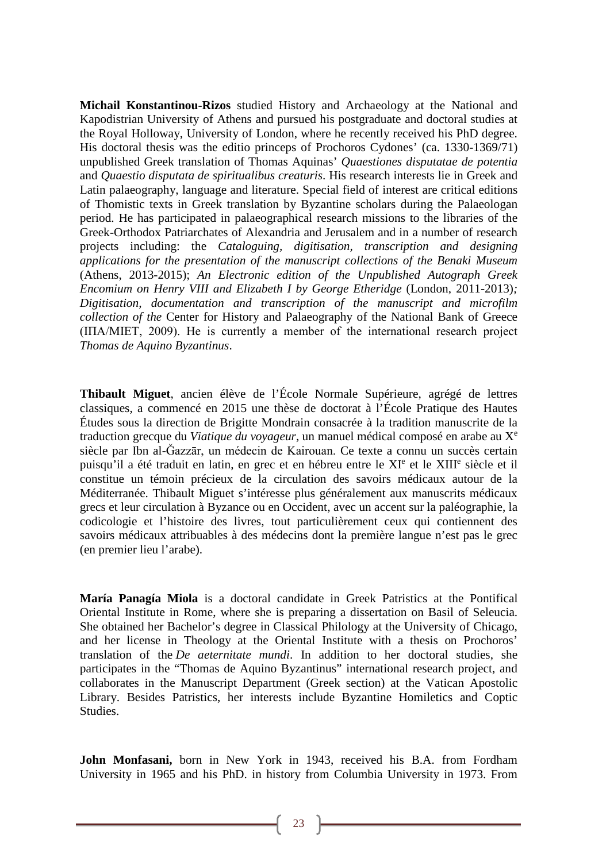**Michail Konstantinou-Rizos** studied History and Archaeology at the National and Kapodistrian University of Athens and pursued his postgraduate and doctoral studies at the Royal Holloway, University of London, where he recently received his PhD degree. His doctoral thesis was the editio princeps of Prochoros Cydones' (ca. 1330-1369/71) unpublished Greek translation of Thomas Aquinas' *Quaestiones disputatae de potentia*  and *Quaestio disputata de spiritualibus creaturis*. His research interests lie in Greek and Latin palaeography, language and literature. Special field of interest are critical editions of Thomistic texts in Greek translation by Byzantine scholars during the Palaeologan period. He has participated in palaeographical research missions to the libraries of the Greek-Orthodox Patriarchates of Alexandria and Jerusalem and in a number of research projects including: the *Cataloguing, digitisation, transcription and designing applications for the presentation of the manuscript collections of the Benaki Museum*  (Athens, 2013-2015); *An Electronic edition of the Unpublished Autograph Greek Encomium on Henry VIII and Elizabeth I by George Etheridge (London, 2011-2013); Digitisation, documentation and transcription of the manuscript and microfilm collection of the* Center for History and Palaeography of the National Bank of Greece (ΙΠΑ/MIET, 2009). He is currently a member of the international research project *Thomas de Aquino Byzantinus*.

**Thibault Miguet**, ancien élève de l'École Normale Supérieure, agrégé de lettres classiques, a commencé en 2015 une thèse de doctorat à l'École Pratique des Hautes Études sous la direction de Brigitte Mondrain consacrée à la tradition manuscrite de la traduction grecque du *Viatique du voyageur*, un manuel médical composé en arabe au X<sup>e</sup> siècle par Ibn al-Ǧazzār, un médecin de Kairouan. Ce texte a connu un succès certain puisqu'il a été traduit en latin, en grec et en hébreu entre le XI<sup>e</sup> et le XIII<sup>e</sup> siècle et il constitue un témoin précieux de la circulation des savoirs médicaux autour de la Méditerranée. Thibault Miguet s'intéresse plus généralement aux manuscrits médicaux grecs et leur circulation à Byzance ou en Occident, avec un accent sur la paléographie, la codicologie et l'histoire des livres, tout particulièrement ceux qui contiennent des savoirs médicaux attribuables à des médecins dont la première langue n'est pas le grec (en premier lieu l'arabe).

**María Panagía Miola** is a doctoral candidate in Greek Patristics at the Pontifical Oriental Institute in Rome, where she is preparing a dissertation on Basil of Seleucia. She obtained her Bachelor's degree in Classical Philology at the University of Chicago, and her license in Theology at the Oriental Institute with a thesis on Prochoros' translation of the *De aeternitate mundi*. In addition to her doctoral studies, she participates in the "Thomas de Aquino Byzantinus" international research project, and collaborates in the Manuscript Department (Greek section) at the Vatican Apostolic Library. Besides Patristics, her interests include Byzantine Homiletics and Coptic Studies.

**John Monfasani,** born in New York in 1943, received his B.A. from Fordham University in 1965 and his PhD. in history from Columbia University in 1973. From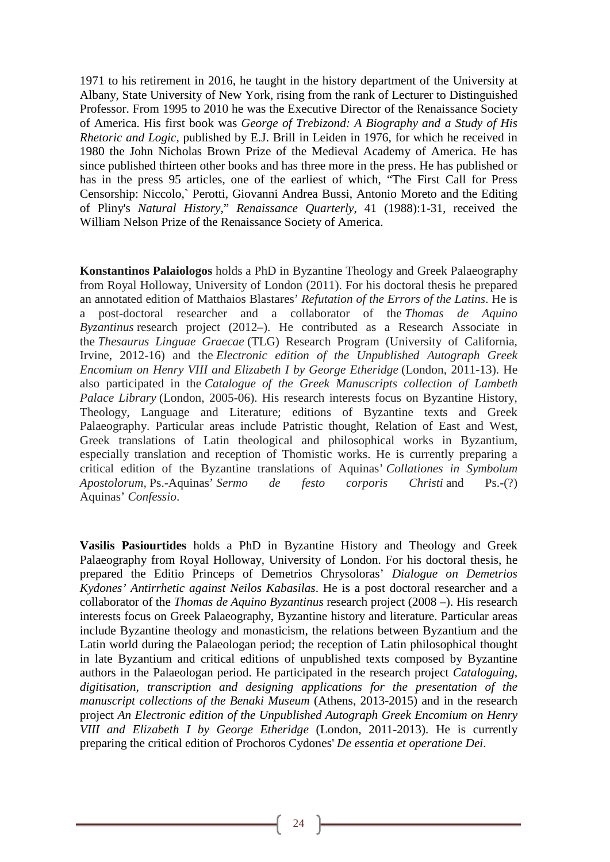1971 to his retirement in 2016, he taught in the history department of the University at Albany, State University of New York, rising from the rank of Lecturer to Distinguished Professor. From 1995 to 2010 he was the Executive Director of the Renaissance Society of America. His first book was *George of Trebizond: A Biography and a Study of His Rhetoric and Logic*, published by E.J. Brill in Leiden in 1976, for which he received in 1980 the John Nicholas Brown Prize of the Medieval Academy of America. He has since published thirteen other books and has three more in the press. He has published or has in the press 95 articles, one of the earliest of which, "The First Call for Press Censorship: Niccolo,` Perotti, Giovanni Andrea Bussi, Antonio Moreto and the Editing of Pliny's *Natural History*," *Renaissance Quarterly*, 41 (1988):1-31, received the William Nelson Prize of the Renaissance Society of America.

**Konstantinos Palaiologos** holds a PhD in Byzantine Theology and Greek Palaeography from Royal Holloway, University of London (2011). For his doctoral thesis he prepared an annotated edition of Matthaios Blastares' *Refutation of the Errors of the Latins*. He is a post-doctoral researcher and a collaborator of the *Thomas de Aquino Byzantinus* research project (2012–). He contributed as a Research Associate in the *Thesaurus Linguae Graecae* (TLG) Research Program (University of California, Irvine, 2012-16) and the *Electronic edition of the Unpublished Autograph Greek Encomium on Henry VIII and Elizabeth I by George Etheridge* (London, 2011-13). He also participated in the *Catalogue of the Greek Manuscripts collection of Lambeth Palace Library* (London, 2005-06). His research interests focus on Byzantine History, Theology, Language and Literature; editions of Byzantine texts and Greek Palaeography. Particular areas include Patristic thought, Relation of East and West, Greek translations of Latin theological and philosophical works in Byzantium, especially translation and reception of Thomistic works. He is currently preparing a critical edition of the Byzantine translations of Aquinas' *Collationes in Symbolum Apostolorum,* Ps.-Aquinas' *Sermo de festo corporis Christi* and Ps.-(?) Aquinas' *Confessio*.

**Vasilis Pasiourtides** holds a PhD in Byzantine History and Theology and Greek Palaeography from Royal Holloway, University of London. For his doctoral thesis, he prepared the Editio Princeps of Demetrios Chrysoloras' *Dialogue on Demetrios Kydones' Antirrhetic against Neilos Kabasilas*. He is a post doctoral researcher and a collaborator of the *Thomas de Aquino Byzantinus* research project (2008 –). His research interests focus on Greek Palaeography, Byzantine history and literature. Particular areas include Byzantine theology and monasticism, the relations between Byzantium and the Latin world during the Palaeologan period; the reception of Latin philosophical thought in late Byzantium and critical editions of unpublished texts composed by Byzantine authors in the Palaeologan period. He participated in the research project *Cataloguing, digitisation, transcription and designing applications for the presentation of the manuscript collections of the Benaki Museum* (Athens, 2013-2015) and in the research project *An Electronic edition of the Unpublished Autograph Greek Encomium on Henry VIII and Elizabeth I by George Etheridge* (London, 2011-2013). He is currently preparing the critical edition of Prochoros Cydones' *De essentia et operatione Dei*.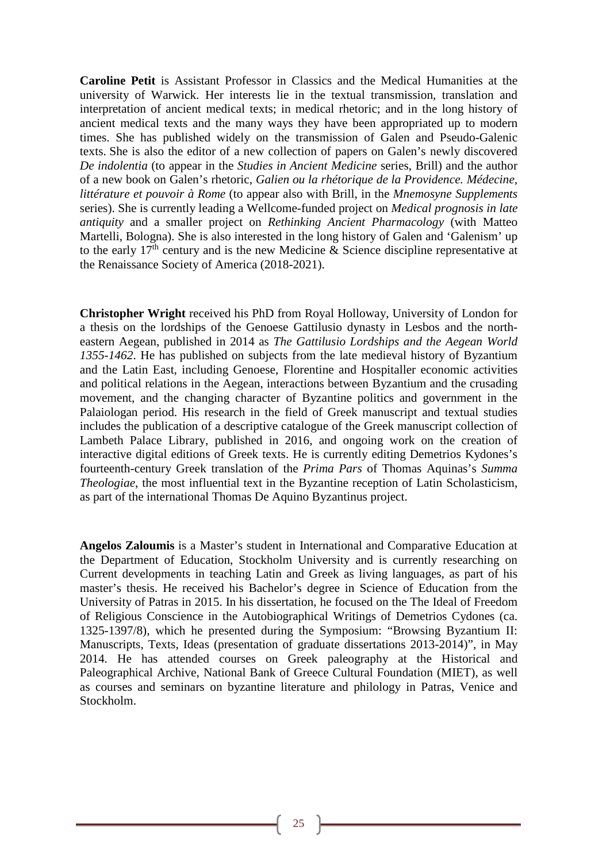**Caroline Petit** is Assistant Professor in Classics and the Medical Humanities at the university of Warwick. Her interests lie in the textual transmission, translation and interpretation of ancient medical texts; in medical rhetoric; and in the long history of ancient medical texts and the many ways they have been appropriated up to modern times. She has published widely on the transmission of Galen and Pseudo-Galenic texts. She is also the editor of a new collection of papers on Galen's newly discovered *De indolentia* (to appear in the *Studies in Ancient Medicine* series, Brill) and the author of a new book on Galen's rhetoric, *Galien ou la rhétorique de la Providence. Médecine, littérature et pouvoir à Rome* (to appear also with Brill, in the *Mnemosyne Supplements* series). She is currently leading a Wellcome-funded project on *Medical prognosis in late antiquity* and a smaller project on *Rethinking Ancient Pharmacology* (with Matteo Martelli, Bologna). She is also interested in the long history of Galen and 'Galenism' up to the early  $17<sup>th</sup>$  century and is the new Medicine & Science discipline representative at the Renaissance Society of America (2018-2021).

**Christopher Wright** received his PhD from Royal Holloway, University of London for a thesis on the lordships of the Genoese Gattilusio dynasty in Lesbos and the northeastern Aegean, published in 2014 as *The Gattilusio Lordships and the Aegean World 1355-1462*. He has published on subjects from the late medieval history of Byzantium and the Latin East, including Genoese, Florentine and Hospitaller economic activities and political relations in the Aegean, interactions between Byzantium and the crusading movement, and the changing character of Byzantine politics and government in the Palaiologan period. His research in the field of Greek manuscript and textual studies includes the publication of a descriptive catalogue of the Greek manuscript collection of Lambeth Palace Library, published in 2016, and ongoing work on the creation of interactive digital editions of Greek texts. He is currently editing Demetrios Kydones's fourteenth-century Greek translation of the *Prima Pars* of Thomas Aquinas's *Summa Theologiae*, the most influential text in the Byzantine reception of Latin Scholasticism, as part of the international Thomas De Aquino Byzantinus project.

**Angelos Zaloumis** is a Master's student in International and Comparative Education at the Department of Education, Stockholm University and is currently researching on Current developments in teaching Latin and Greek as living languages, as part of his master's thesis. He received his Bachelor's degree in Science of Education from the University of Patras in 2015. In his dissertation, he focused on the The Ideal of Freedom of Religious Conscience in the Autobiographical Writings of Demetrios Cydones (ca. 1325-1397/8), which he presented during the Symposium: "Browsing Byzantium ΙΙ: Manuscripts, Texts, Ideas (presentation of graduate dissertations 2013-2014)", in May 2014. He has attended courses on Greek paleography at the Historical and Paleographical Archive, National Bank of Greece Cultural Foundation (MIET), as well as courses and seminars on byzantine literature and philology in Patras, Venice and Stockholm.